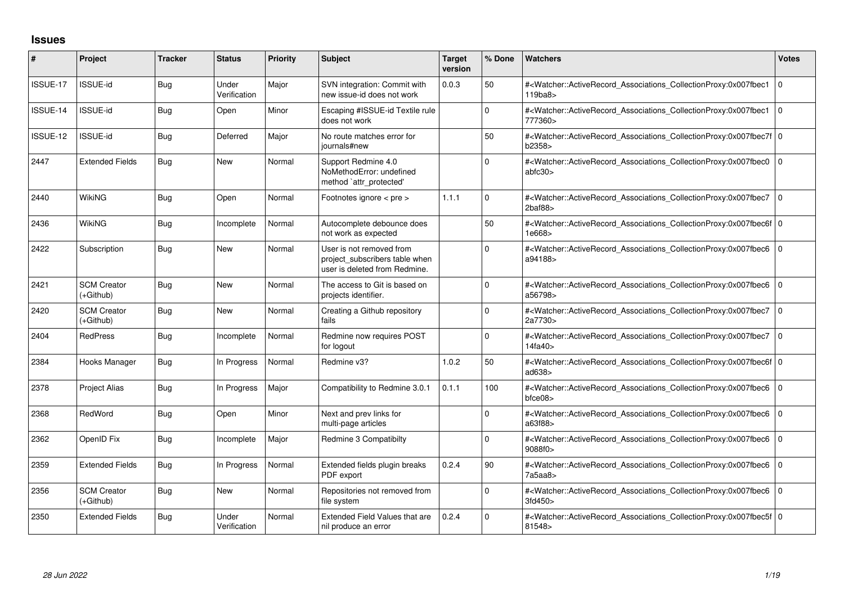## **Issues**

| #        | Project                           | <b>Tracker</b> | <b>Status</b>         | <b>Priority</b> | <b>Subject</b>                                                                              | <b>Target</b><br>version | % Done         | <b>Watchers</b>                                                                                                                                                                | <b>Votes</b>   |
|----------|-----------------------------------|----------------|-----------------------|-----------------|---------------------------------------------------------------------------------------------|--------------------------|----------------|--------------------------------------------------------------------------------------------------------------------------------------------------------------------------------|----------------|
| ISSUE-17 | <b>ISSUE-id</b>                   | <b>Bug</b>     | Under<br>Verification | Major           | SVN integration: Commit with<br>new issue-id does not work                                  | 0.0.3                    | 50             | # <watcher::activerecord_associations_collectionproxy:0x007fbec1<br>119ba8&gt;</watcher::activerecord_associations_collectionproxy:0x007fbec1<br>                              | $\overline{0}$ |
| ISSUE-14 | <b>ISSUE-id</b>                   | <b>Bug</b>     | Open                  | Minor           | Escaping #ISSUE-id Textile rule<br>does not work                                            |                          | $\Omega$       | # <watcher::activerecord_associations_collectionproxy:0x007fbec1<br>777360&gt;</watcher::activerecord_associations_collectionproxy:0x007fbec1<br>                              | l o            |
| ISSUE-12 | <b>ISSUE-id</b>                   | <b>Bug</b>     | Deferred              | Major           | No route matches error for<br>journals#new                                                  |                          | 50             | # <watcher::activerecord_associations_collectionproxy:0x007fbec7f 0<br=""  ="">b2358&gt;</watcher::activerecord_associations_collectionproxy:0x007fbec7f>                      |                |
| 2447     | <b>Extended Fields</b>            | <b>Bug</b>     | <b>New</b>            | Normal          | Support Redmine 4.0<br>NoMethodError: undefined<br>method 'attr_protected'                  |                          | $\Omega$       | # <watcher::activerecord_associations_collectionproxy:0x007fbec0 0<br=""  ="">abfc30&gt;</watcher::activerecord_associations_collectionproxy:0x007fbec0>                       |                |
| 2440     | WikiNG                            | <b>Bug</b>     | Open                  | Normal          | Footnotes ignore $\lt$ pre $\gt$                                                            | 1.1.1                    | $\Omega$       | # <watcher::activerecord_associations_collectionproxy:0x007fbec7 0<br=""><math>2</math>baf<math>88</math></watcher::activerecord_associations_collectionproxy:0x007fbec7>      |                |
| 2436     | <b>WikiNG</b>                     | <b>Bug</b>     | Incomplete            | Normal          | Autocomplete debounce does<br>not work as expected                                          |                          | 50             | # <watcher::activerecord_associations_collectionproxy:0x007fbec6f 0<br=""  ="">1e668&gt;</watcher::activerecord_associations_collectionproxy:0x007fbec6f>                      |                |
| 2422     | Subscription                      | <b>Bug</b>     | <b>New</b>            | Normal          | User is not removed from<br>project_subscribers table when<br>user is deleted from Redmine. |                          | $\Omega$       | # <watcher::activerecord_associations_collectionproxy:0x007fbec6 0<br=""  ="">a94188&gt;</watcher::activerecord_associations_collectionproxy:0x007fbec6>                       |                |
| 2421     | <b>SCM Creator</b><br>$(+Github)$ | <b>Bug</b>     | <b>New</b>            | Normal          | The access to Git is based on<br>projects identifier.                                       |                          | $\Omega$       | # <watcher::activerecord_associations_collectionproxy:0x007fbec6 0<br=""  ="">a56798&gt;</watcher::activerecord_associations_collectionproxy:0x007fbec6>                       |                |
| 2420     | <b>SCM Creator</b><br>(+Github)   | <b>Bug</b>     | <b>New</b>            | Normal          | Creating a Github repository<br>fails                                                       |                          | $\mathbf 0$    | # <watcher::activerecord_associations_collectionproxy:0x007fbec7 0<br="">2a7730&gt;</watcher::activerecord_associations_collectionproxy:0x007fbec7>                            |                |
| 2404     | <b>RedPress</b>                   | <b>Bug</b>     | Incomplete            | Normal          | Redmine now requires POST<br>for logout                                                     |                          | $\Omega$       | # <watcher::activerecord_associations_collectionproxy:0x007fbec7 0<br=""  ="">14fa40&gt;</watcher::activerecord_associations_collectionproxy:0x007fbec7>                       |                |
| 2384     | Hooks Manager                     | Bug            | In Progress           | Normal          | Redmine v3?                                                                                 | 1.0.2                    | 50             | # <watcher::activerecord_associations_collectionproxy:0x007fbec6f 0<br=""  ="">ad638&gt;</watcher::activerecord_associations_collectionproxy:0x007fbec6f>                      |                |
| 2378     | <b>Project Alias</b>              | <b>Bug</b>     | In Progress           | Major           | Compatibility to Redmine 3.0.1                                                              | 0.1.1                    | 100            | # <watcher::activerecord_associations_collectionproxy:0x007fbec6 0<br=""  =""><math>b</math>fce<math>08</math></watcher::activerecord_associations_collectionproxy:0x007fbec6> |                |
| 2368     | RedWord                           | <b>Bug</b>     | Open                  | Minor           | Next and prev links for<br>multi-page articles                                              |                          | $\overline{0}$ | # <watcher::activerecord_associations_collectionproxy:0x007fbec6 0<br=""  ="">a63f88&gt;</watcher::activerecord_associations_collectionproxy:0x007fbec6>                       |                |
| 2362     | OpenID Fix                        | <b>Bug</b>     | Incomplete            | Major           | Redmine 3 Compatibilty                                                                      |                          | $\Omega$       | # <watcher::activerecord_associations_collectionproxy:0x007fbec6 0<br=""  ="">9088f0&gt;</watcher::activerecord_associations_collectionproxy:0x007fbec6>                       |                |
| 2359     | <b>Extended Fields</b>            | Bug            | In Progress           | Normal          | Extended fields plugin breaks<br>PDF export                                                 | 0.2.4                    | 90             | # <watcher::activerecord_associations_collectionproxy:0x007fbec6 0<br="">7a5aa8</watcher::activerecord_associations_collectionproxy:0x007fbec6>                                |                |
| 2356     | <b>SCM Creator</b><br>$(+Github)$ | <b>Bug</b>     | New                   | Normal          | Repositories not removed from<br>file system                                                |                          | $\Omega$       | # <watcher::activerecord_associations_collectionproxy:0x007fbec6 0<br=""  ="">3fd450&gt;</watcher::activerecord_associations_collectionproxy:0x007fbec6>                       |                |
| 2350     | <b>Extended Fields</b>            | Bug            | Under<br>Verification | Normal          | <b>Extended Field Values that are</b><br>nil produce an error                               | 0.2.4                    | $\overline{0}$ | # <watcher::activerecord_associations_collectionproxy:0x007fbec5f 0<br=""  ="">81548&gt;</watcher::activerecord_associations_collectionproxy:0x007fbec5f>                      |                |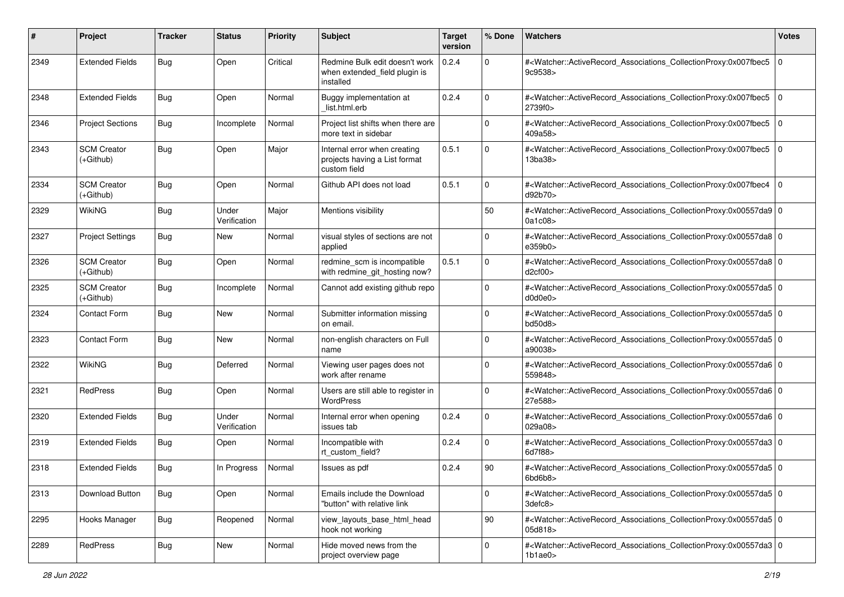| #    | Project                           | <b>Tracker</b> | <b>Status</b>         | <b>Priority</b> | <b>Subject</b>                                                                | <b>Target</b><br>version | % Done       | Watchers                                                                                                                                                 | <b>Votes</b> |
|------|-----------------------------------|----------------|-----------------------|-----------------|-------------------------------------------------------------------------------|--------------------------|--------------|----------------------------------------------------------------------------------------------------------------------------------------------------------|--------------|
| 2349 | <b>Extended Fields</b>            | Bug            | Open                  | Critical        | Redmine Bulk edit doesn't work<br>when extended_field plugin is<br>installed  | 0.2.4                    | $\mathbf{0}$ | # <watcher::activerecord_associations_collectionproxy:0x007fbec5<br>9c9538&gt;</watcher::activerecord_associations_collectionproxy:0x007fbec5<br>        | l 0          |
| 2348 | <b>Extended Fields</b>            | Bug            | Open                  | Normal          | Buggy implementation at<br>list.html.erb                                      | 0.2.4                    | 0            | # <watcher::activerecord_associations_collectionproxy:0x007fbec5 0<br=""  ="">2739f0&gt;</watcher::activerecord_associations_collectionproxy:0x007fbec5> |              |
| 2346 | <b>Project Sections</b>           | <b>Bug</b>     | Incomplete            | Normal          | Project list shifts when there are<br>more text in sidebar                    |                          | $\mathbf 0$  | # <watcher::activerecord_associations_collectionproxy:0x007fbec5 0<br=""  ="">409a58&gt;</watcher::activerecord_associations_collectionproxy:0x007fbec5> |              |
| 2343 | <b>SCM Creator</b><br>(+Github)   | <b>Bug</b>     | Open                  | Major           | Internal error when creating<br>projects having a List format<br>custom field | 0.5.1                    | 0            | # <watcher::activerecord_associations_collectionproxy:0x007fbec5 0<br=""  ="">13ba38&gt;</watcher::activerecord_associations_collectionproxy:0x007fbec5> |              |
| 2334 | <b>SCM Creator</b><br>$(+Github)$ | Bug            | Open                  | Normal          | Github API does not load                                                      | 0.5.1                    | 0            | # <watcher::activerecord_associations_collectionproxy:0x007fbec4 0<br=""  ="">d92b70&gt;</watcher::activerecord_associations_collectionproxy:0x007fbec4> |              |
| 2329 | <b>WikiNG</b>                     | Bug            | Under<br>Verification | Major           | Mentions visibility                                                           |                          | 50           | # <watcher::activerecord_associations_collectionproxy:0x00557da9 0<br="">0a1c08&gt;</watcher::activerecord_associations_collectionproxy:0x00557da9>      |              |
| 2327 | <b>Project Settings</b>           | <b>Bug</b>     | <b>New</b>            | Normal          | visual styles of sections are not<br>applied                                  |                          | 0            | # <watcher::activerecord_associations_collectionproxy:0x00557da8 0<br=""  ="">e359b0&gt;</watcher::activerecord_associations_collectionproxy:0x00557da8> |              |
| 2326 | <b>SCM Creator</b><br>(+Github)   | <b>Bug</b>     | Open                  | Normal          | redmine_scm is incompatible<br>with redmine git hosting now?                  | 0.5.1                    | 0            | # <watcher::activerecord_associations_collectionproxy:0x00557da8 0<br="">d2cf00&gt;</watcher::activerecord_associations_collectionproxy:0x00557da8>      |              |
| 2325 | <b>SCM Creator</b><br>$(+Github)$ | <b>Bug</b>     | Incomplete            | Normal          | Cannot add existing github repo                                               |                          | $\Omega$     | # <watcher::activerecord_associations_collectionproxy:0x00557da5 0<br="">d0d0e0&gt;</watcher::activerecord_associations_collectionproxy:0x00557da5>      |              |
| 2324 | Contact Form                      | <b>Bug</b>     | <b>New</b>            | Normal          | Submitter information missing<br>on email.                                    |                          | 0            | # <watcher::activerecord_associations_collectionproxy:0x00557da5 0<br="">bd50d8</watcher::activerecord_associations_collectionproxy:0x00557da5>          |              |
| 2323 | Contact Form                      | Bug            | <b>New</b>            | Normal          | non-english characters on Full<br>name                                        |                          | $\mathbf 0$  | # <watcher::activerecord_associations_collectionproxy:0x00557da5 0<br=""  ="">a90038&gt;</watcher::activerecord_associations_collectionproxy:0x00557da5> |              |
| 2322 | <b>WikiNG</b>                     | <b>Bug</b>     | Deferred              | Normal          | Viewing user pages does not<br>work after rename                              |                          | 0            | # <watcher::activerecord_associations_collectionproxy:0x00557da6 0<br=""  ="">559848&gt;</watcher::activerecord_associations_collectionproxy:0x00557da6> |              |
| 2321 | RedPress                          | Bug            | Open                  | Normal          | Users are still able to register in<br>WordPress                              |                          | $\mathbf 0$  | # <watcher::activerecord_associations_collectionproxy:0x00557da6 0<br=""  ="">27e588&gt;</watcher::activerecord_associations_collectionproxy:0x00557da6> |              |
| 2320 | <b>Extended Fields</b>            | Bug            | Under<br>Verification | Normal          | Internal error when opening<br>issues tab                                     | 0.2.4                    | 0            | # <watcher::activerecord_associations_collectionproxy:0x00557da6 0<br="">029a08&gt;</watcher::activerecord_associations_collectionproxy:0x00557da6>      |              |
| 2319 | <b>Extended Fields</b>            | Bug            | Open                  | Normal          | Incompatible with<br>rt_custom_field?                                         | 0.2.4                    | 0            | # <watcher::activerecord_associations_collectionproxy:0x00557da3 0<br="">6d7f88&gt;</watcher::activerecord_associations_collectionproxy:0x00557da3>      |              |
| 2318 | <b>Extended Fields</b>            | <b>Bug</b>     | In Progress           | Normal          | Issues as pdf                                                                 | 0.2.4                    | 90           | # <watcher::activerecord_associations_collectionproxy:0x00557da5 0<br="">6bd6b8&gt;</watcher::activerecord_associations_collectionproxy:0x00557da5>      |              |
| 2313 | Download Button                   | Bug            | Open                  | Normal          | Emails include the Download<br>"button" with relative link                    |                          | $\mathbf 0$  | # <watcher::activerecord_associations_collectionproxy:0x00557da5 0<br=""  ="">3defc8&gt;</watcher::activerecord_associations_collectionproxy:0x00557da5> |              |
| 2295 | Hooks Manager                     | Bug            | Reopened              | Normal          | view_layouts_base_html_head<br>hook not working                               |                          | $ 90\rangle$ | # <watcher::activerecord_associations_collectionproxy:0x00557da5 0<br=""  ="">05d818&gt;</watcher::activerecord_associations_collectionproxy:0x00557da5> |              |
| 2289 | RedPress                          | <b>Bug</b>     | New                   | Normal          | Hide moved news from the<br>project overview page                             |                          | 0            | # <watcher::activerecord_associations_collectionproxy:0x00557da3 0<br=""  ="">1b1ae0&gt;</watcher::activerecord_associations_collectionproxy:0x00557da3> |              |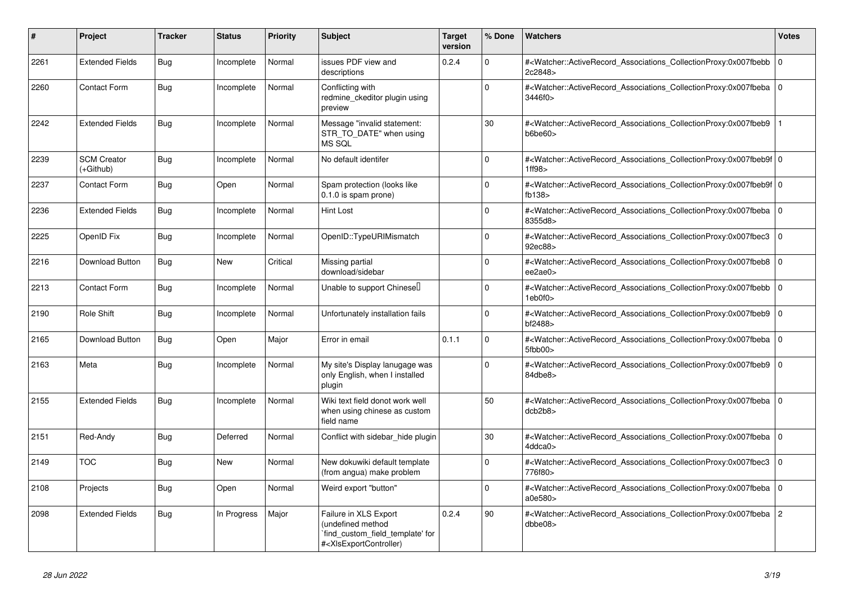| #    | <b>Project</b>                  | <b>Tracker</b> | <b>Status</b> | <b>Priority</b> | <b>Subject</b>                                                                                                                                                                                                                                                                                                       | <b>Target</b><br>version | % Done   | <b>Watchers</b>                                                                                                                                          | <b>Votes</b>   |
|------|---------------------------------|----------------|---------------|-----------------|----------------------------------------------------------------------------------------------------------------------------------------------------------------------------------------------------------------------------------------------------------------------------------------------------------------------|--------------------------|----------|----------------------------------------------------------------------------------------------------------------------------------------------------------|----------------|
| 2261 | <b>Extended Fields</b>          | Bug            | Incomplete    | Normal          | issues PDF view and<br>descriptions                                                                                                                                                                                                                                                                                  | 0.2.4                    | $\Omega$ | # <watcher::activerecord_associations_collectionproxy:0x007fbebb  <br="">2c2848&gt;</watcher::activerecord_associations_collectionproxy:0x007fbebb>      | $\mathbf 0$    |
| 2260 | <b>Contact Form</b>             | <b>Bug</b>     | Incomplete    | Normal          | Conflicting with<br>redmine ckeditor plugin using<br>preview                                                                                                                                                                                                                                                         |                          | $\Omega$ | # <watcher::activerecord_associations_collectionproxy:0x007fbeba 0<br=""  ="">3446f0&gt;</watcher::activerecord_associations_collectionproxy:0x007fbeba> |                |
| 2242 | <b>Extended Fields</b>          | Bug            | Incomplete    | Normal          | Message "invalid statement:<br>STR_TO_DATE" when using<br>MS SQL                                                                                                                                                                                                                                                     |                          | 30       | # <watcher::activerecord_associations_collectionproxy:0x007fbeb9<br>b6be60&gt;</watcher::activerecord_associations_collectionproxy:0x007fbeb9<br>        |                |
| 2239 | <b>SCM Creator</b><br>(+Github) | Bug            | Incomplete    | Normal          | No default identifer                                                                                                                                                                                                                                                                                                 |                          | $\Omega$ | # <watcher::activerecord 0<br="" associations="" collectionproxy:0x007fbeb9f=""  ="">1ff98&gt;</watcher::activerecord>                                   |                |
| 2237 | Contact Form                    | <b>Bug</b>     | Open          | Normal          | Spam protection (looks like<br>$0.1.0$ is spam prone)                                                                                                                                                                                                                                                                |                          | $\Omega$ | # <watcher::activerecord_associations_collectionproxy:0x007fbeb9f 0<br="">fb138</watcher::activerecord_associations_collectionproxy:0x007fbeb9f>         |                |
| 2236 | <b>Extended Fields</b>          | Bug            | Incomplete    | Normal          | Hint Lost                                                                                                                                                                                                                                                                                                            |                          | $\Omega$ | # <watcher::activerecord_associations_collectionproxy:0x007fbeba 0<br=""  ="">8355d8&gt;</watcher::activerecord_associations_collectionproxy:0x007fbeba> |                |
| 2225 | OpenID Fix                      | Bug            | Incomplete    | Normal          | OpenID::TypeURIMismatch                                                                                                                                                                                                                                                                                              |                          | $\Omega$ | # <watcher::activerecord_associations_collectionproxy:0x007fbec3  <br="">92ec88&gt;</watcher::activerecord_associations_collectionproxy:0x007fbec3>      | $\mathbf 0$    |
| 2216 | Download Button                 | <b>Bug</b>     | New           | Critical        | Missing partial<br>download/sidebar                                                                                                                                                                                                                                                                                  |                          | $\Omega$ | # <watcher::activerecord_associations_collectionproxy:0x007fbeb8<br>ee2ae0&gt;</watcher::activerecord_associations_collectionproxy:0x007fbeb8<br>        | $\Omega$       |
| 2213 | <b>Contact Form</b>             | Bug            | Incomplete    | Normal          | Unable to support Chinesel                                                                                                                                                                                                                                                                                           |                          | $\Omega$ | # <watcher::activerecord associations="" collectionproxy:0x007fbebb=""  <br="">1eb0f0&gt;</watcher::activerecord>                                        | $\mathbf 0$    |
| 2190 | Role Shift                      | Bug            | Incomplete    | Normal          | Unfortunately installation fails                                                                                                                                                                                                                                                                                     |                          | $\Omega$ | # <watcher::activerecord_associations_collectionproxy:0x007fbeb9  <br="">bf2488&gt;</watcher::activerecord_associations_collectionproxy:0x007fbeb9>      | $\mathbf 0$    |
| 2165 | Download Button                 | Bug            | Open          | Major           | Error in email                                                                                                                                                                                                                                                                                                       | 0.1.1                    | $\Omega$ | # <watcher::activerecord associations="" collectionproxy:0x007fbeba<br="">5fbb00&gt;</watcher::activerecord>                                             | $\Omega$       |
| 2163 | Meta                            | <b>Bug</b>     | Incomplete    | Normal          | My site's Display lanugage was<br>only English, when I installed<br>plugin                                                                                                                                                                                                                                           |                          | $\Omega$ | # <watcher::activerecord 0<br="" associations="" collectionproxy:0x007fbeb9=""  ="">84dbe8&gt;</watcher::activerecord>                                   |                |
| 2155 | <b>Extended Fields</b>          | Bug            | Incomplete    | Normal          | Wiki text field donot work well<br>when using chinese as custom<br>field name                                                                                                                                                                                                                                        |                          | 50       | # <watcher::activerecord_associations_collectionproxy:0x007fbeba 0<br=""  ="">dcb2b8</watcher::activerecord_associations_collectionproxy:0x007fbeba>     |                |
| 2151 | Red-Andy                        | Bug            | Deferred      | Normal          | Conflict with sidebar hide plugin                                                                                                                                                                                                                                                                                    |                          | 30       | # <watcher::activerecord_associations_collectionproxy:0x007fbeba 0<br=""  ="">4ddca0&gt;</watcher::activerecord_associations_collectionproxy:0x007fbeba> |                |
| 2149 | <b>TOC</b>                      | <b>Bug</b>     | <b>New</b>    | Normal          | New dokuwiki default template<br>(from angua) make problem                                                                                                                                                                                                                                                           |                          | $\Omega$ | # <watcher::activerecord_associations_collectionproxy:0x007fbec3<br>776f80&gt;</watcher::activerecord_associations_collectionproxy:0x007fbec3<br>        | $\mathbf 0$    |
| 2108 | Projects                        | Bug            | Open          | Normal          | Weird export "button"                                                                                                                                                                                                                                                                                                |                          | $\Omega$ | # <watcher::activerecord_associations_collectionproxy:0x007fbeba 0<br="">a0e580&gt;</watcher::activerecord_associations_collectionproxy:0x007fbeba>      |                |
| 2098 | <b>Extended Fields</b>          | Bug            | In Progress   | Major           | Failure in XLS Export<br>(undefined method<br>`find_custom_field_template' for<br># <xlsexportcontroller)< td=""><td>0.2.4</td><td>90</td><td>#<watcher::activerecord associations="" collectionproxy:0x007fbeba<br="">dbbe08</watcher::activerecord></td><td><math>\overline{2}</math></td></xlsexportcontroller)<> | 0.2.4                    | 90       | # <watcher::activerecord associations="" collectionproxy:0x007fbeba<br="">dbbe08</watcher::activerecord>                                                 | $\overline{2}$ |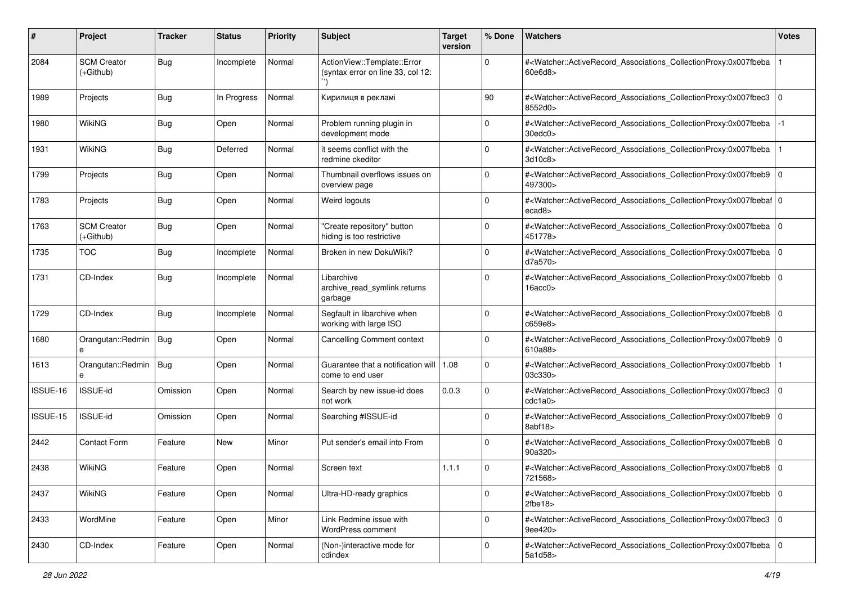| #        | Project                         | <b>Tracker</b> | <b>Status</b> | <b>Priority</b> | <b>Subject</b>                                                   | <b>Target</b><br>version | % Done      | Watchers                                                                                                                                                                       | <b>Votes</b> |
|----------|---------------------------------|----------------|---------------|-----------------|------------------------------------------------------------------|--------------------------|-------------|--------------------------------------------------------------------------------------------------------------------------------------------------------------------------------|--------------|
| 2084     | <b>SCM Creator</b><br>(+Github) | <b>Bug</b>     | Incomplete    | Normal          | ActionView::Template::Error<br>(syntax error on line 33, col 12: |                          | 0           | # <watcher::activerecord_associations_collectionproxy:0x007fbeba<br>60e6d8</watcher::activerecord_associations_collectionproxy:0x007fbeba<br>                                  |              |
| 1989     | Projects                        | <b>Bug</b>     | In Progress   | Normal          | Кирилиця в рекламі                                               |                          | 90          | # <watcher::activerecord_associations_collectionproxy:0x007fbec3 0<br=""  ="">8552d0&gt;</watcher::activerecord_associations_collectionproxy:0x007fbec3>                       |              |
| 1980     | WikiNG                          | <b>Bug</b>     | Open          | Normal          | Problem running plugin in<br>development mode                    |                          | $\mathbf 0$ | # <watcher::activerecord_associations_collectionproxy:0x007fbeba<br><math>30</math>edc<math>0</math></watcher::activerecord_associations_collectionproxy:0x007fbeba<br>        |              |
| 1931     | <b>WikiNG</b>                   | <b>Bug</b>     | Deferred      | Normal          | it seems conflict with the<br>redmine ckeditor                   |                          | 0           | # <watcher::activerecord associations="" collectionproxy:0x007fbeba<br="">3d10c8&gt;</watcher::activerecord>                                                                   |              |
| 1799     | Projects                        | <b>Bug</b>     | Open          | Normal          | Thumbnail overflows issues on<br>overview page                   |                          | 0           | # <watcher::activerecord_associations_collectionproxy:0x007fbeb9 0<br="">497300&gt;</watcher::activerecord_associations_collectionproxy:0x007fbeb9>                            |              |
| 1783     | Projects                        | <b>Bug</b>     | Open          | Normal          | Weird logouts                                                    |                          | $\Omega$    | # <watcher::activerecord_associations_collectionproxy:0x007fbebaf 0<br=""  ="">ecad8&gt;</watcher::activerecord_associations_collectionproxy:0x007fbebaf>                      |              |
| 1763     | <b>SCM Creator</b><br>(+Github) | <b>Bug</b>     | Open          | Normal          | "Create repository" button<br>hiding is too restrictive          |                          | 0           | # <watcher::activerecord_associations_collectionproxy:0x007fbeba 0<br="">451778&gt;</watcher::activerecord_associations_collectionproxy:0x007fbeba>                            |              |
| 1735     | <b>TOC</b>                      | <b>Bug</b>     | Incomplete    | Normal          | Broken in new DokuWiki?                                          |                          | $\Omega$    | # <watcher::activerecord_associations_collectionproxy:0x007fbeba 0<br="">d7a570&gt;</watcher::activerecord_associations_collectionproxy:0x007fbeba>                            |              |
| 1731     | CD-Index                        | <b>Bug</b>     | Incomplete    | Normal          | Libarchive<br>archive_read_symlink returns<br>garbage            |                          | 0           | # <watcher::activerecord_associations_collectionproxy:0x007fbebb 0<br=""  ="">16acc0&gt;</watcher::activerecord_associations_collectionproxy:0x007fbebb>                       |              |
| 1729     | CD-Index                        | <b>Bug</b>     | Incomplete    | Normal          | Segfault in libarchive when<br>working with large ISO            |                          | 0           | # <watcher::activerecord_associations_collectionproxy:0x007fbeb8 0<br="">c659e8&gt;</watcher::activerecord_associations_collectionproxy:0x007fbeb8>                            |              |
| 1680     | Orangutan::Redmin<br>$\theta$   | Bug            | Open          | Normal          | <b>Cancelling Comment context</b>                                |                          | $\mathbf 0$ | # <watcher::activerecord_associations_collectionproxy:0x007fbeb9 0<br=""  ="">610a88</watcher::activerecord_associations_collectionproxy:0x007fbeb9>                           |              |
| 1613     | Orangutan::Redmin<br>e          | Bug            | Open          | Normal          | Guarantee that a notification will   1.08<br>come to end user    |                          | 0           | # <watcher::activerecord_associations_collectionproxy:0x007fbebb<br>03c330&gt;</watcher::activerecord_associations_collectionproxy:0x007fbebb<br>                              |              |
| ISSUE-16 | <b>ISSUE-id</b>                 | Omission       | Open          | Normal          | Search by new issue-id does<br>not work                          | 0.0.3                    | 0           | # <watcher::activerecord_associations_collectionproxy:0x007fbec3 0<br=""  ="">cdc1a0</watcher::activerecord_associations_collectionproxy:0x007fbec3>                           |              |
| ISSUE-15 | <b>ISSUE-id</b>                 | Omission       | Open          | Normal          | Searching #ISSUE-id                                              |                          | 0           | # <watcher::activerecord_associations_collectionproxy:0x007fbeb9 0<br="">8abf18</watcher::activerecord_associations_collectionproxy:0x007fbeb9>                                |              |
| 2442     | Contact Form                    | Feature        | <b>New</b>    | Minor           | Put sender's email into From                                     |                          | $\Omega$    | # <watcher::activerecord_associations_collectionproxy:0x007fbeb8 0<br="">90a320&gt;</watcher::activerecord_associations_collectionproxy:0x007fbeb8>                            |              |
| 2438     | <b>WikiNG</b>                   | Feature        | Open          | Normal          | Screen text                                                      | 1.1.1                    | 0           | # <watcher::activerecord_associations_collectionproxy:0x007fbeb8 0<br="">721568&gt;</watcher::activerecord_associations_collectionproxy:0x007fbeb8>                            |              |
| 2437     | WikiNG                          | Feature        | Open          | Normal          | Ultra-HD-ready graphics                                          |                          | 0           | # <watcher::activerecord_associations_collectionproxy:0x007fbebb 0<br=""  =""><math>2</math>fbe<math>18</math></watcher::activerecord_associations_collectionproxy:0x007fbebb> |              |
| 2433     | WordMine                        | Feature        | Open          | Minor           | Link Redmine issue with<br>WordPress comment                     |                          | $\mathbf 0$ | # <watcher::activerecord 0<br="" associations="" collectionproxy:0x007fbec3="">9ee420&gt;</watcher::activerecord>                                                              |              |
| 2430     | CD-Index                        | Feature        | Open          | Normal          | (Non-)interactive mode for<br>cdindex                            |                          | 0           | # <watcher::activerecord 0<br="" associations="" collectionproxy:0x007fbeba="">5a1d58&gt;</watcher::activerecord>                                                              |              |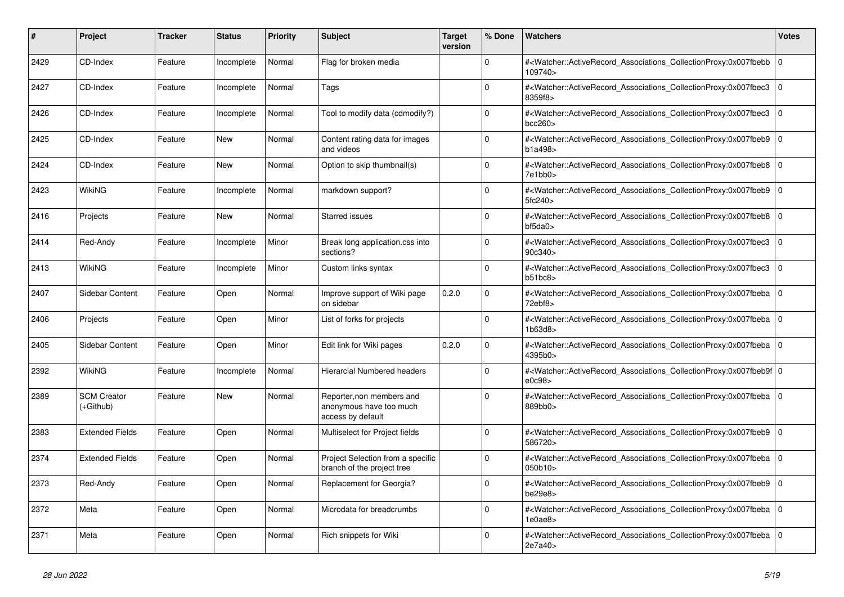| #    | Project                         | Tracker | <b>Status</b> | <b>Priority</b> | <b>Subject</b>                                                            | <b>Target</b><br>version | % Done   | <b>Watchers</b>                                                                                                                                          | <b>Votes</b> |
|------|---------------------------------|---------|---------------|-----------------|---------------------------------------------------------------------------|--------------------------|----------|----------------------------------------------------------------------------------------------------------------------------------------------------------|--------------|
| 2429 | CD-Index                        | Feature | Incomplete    | Normal          | Flag for broken media                                                     |                          | $\Omega$ | # <watcher::activerecord associations="" collectionproxy:0x007fbebb<br="">109740&gt;</watcher::activerecord>                                             | $\mathbf 0$  |
| 2427 | CD-Index                        | Feature | Incomplete    | Normal          | Tags                                                                      |                          | $\Omega$ | # <watcher::activerecord associations="" collectionproxy:0x007fbec3<br="">8359f8&gt;</watcher::activerecord>                                             | $\mathbf{0}$ |
| 2426 | CD-Index                        | Feature | Incomplete    | Normal          | Tool to modify data (cdmodify?)                                           |                          | $\Omega$ | # <watcher::activerecord_associations_collectionproxy:0x007fbec3 0<br="">bcc260</watcher::activerecord_associations_collectionproxy:0x007fbec3>          |              |
| 2425 | CD-Index                        | Feature | New           | Normal          | Content rating data for images<br>and videos                              |                          | $\Omega$ | # <watcher::activerecord_associations_collectionproxy:0x007fbeb9  <br="">b1a498&gt;</watcher::activerecord_associations_collectionproxy:0x007fbeb9>      | $\mathbf 0$  |
| 2424 | CD-Index                        | Feature | <b>New</b>    | Normal          | Option to skip thumbnail(s)                                               |                          | $\Omega$ | # <watcher::activerecord_associations_collectionproxy:0x007fbeb8<br>7e1bb0&gt;</watcher::activerecord_associations_collectionproxy:0x007fbeb8<br>        | $\mathbf 0$  |
| 2423 | WikiNG                          | Feature | Incomplete    | Normal          | markdown support?                                                         |                          | $\Omega$ | # <watcher::activerecord 0<br="" associations="" collectionproxy:0x007fbeb9=""  ="">5fc240</watcher::activerecord>                                       |              |
| 2416 | Projects                        | Feature | New           | Normal          | <b>Starred issues</b>                                                     |                          | $\Omega$ | # <watcher::activerecord_associations_collectionproxy:0x007fbeb8<br>b45da0&gt;</watcher::activerecord_associations_collectionproxy:0x007fbeb8<br>        | $\mathbf 0$  |
| 2414 | Red-Andy                        | Feature | Incomplete    | Minor           | Break long application.css into<br>sections?                              |                          | $\Omega$ | # <watcher::activerecord_associations_collectionproxy:0x007fbec3<br>90c340&gt;</watcher::activerecord_associations_collectionproxy:0x007fbec3<br>        | $\Omega$     |
| 2413 | WikiNG                          | Feature | Incomplete    | Minor           | Custom links syntax                                                       |                          | $\Omega$ | # <watcher::activerecord associations="" collectionproxy:0x007fbec3<br="">b51bc8</watcher::activerecord>                                                 | $\mathbf 0$  |
| 2407 | Sidebar Content                 | Feature | Open          | Normal          | Improve support of Wiki page<br>on sidebar                                | 0.2.0                    | $\Omega$ | # <watcher::activerecord associations="" collectionproxy:0x007fbeba<br="">72ebf8</watcher::activerecord>                                                 | $\mathbf 0$  |
| 2406 | Projects                        | Feature | Open          | Minor           | List of forks for projects                                                |                          | $\Omega$ | # <watcher::activerecord_associations_collectionproxy:0x007fbeba 0<br=""  ="">1b63d8&gt;</watcher::activerecord_associations_collectionproxy:0x007fbeba> |              |
| 2405 | Sidebar Content                 | Feature | Open          | Minor           | Edit link for Wiki pages                                                  | 0.2.0                    | $\Omega$ | # <watcher::activerecord_associations_collectionproxy:0x007fbeba 0<br=""  ="">4395b0&gt;</watcher::activerecord_associations_collectionproxy:0x007fbeba> |              |
| 2392 | WikiNG                          | Feature | Incomplete    | Normal          | <b>Hierarcial Numbered headers</b>                                        |                          | $\Omega$ | # <watcher::activerecord_associations_collectionproxy:0x007fbeb9f 0<br=""  ="">e0c98</watcher::activerecord_associations_collectionproxy:0x007fbeb9f>    |              |
| 2389 | <b>SCM Creator</b><br>(+Github) | Feature | New           | Normal          | Reporter, non members and<br>anonymous have too much<br>access by default |                          | $\Omega$ | # <watcher::activerecord_associations_collectionproxy:0x007fbeba 0<br=""  ="">889bb0&gt;</watcher::activerecord_associations_collectionproxy:0x007fbeba> |              |
| 2383 | <b>Extended Fields</b>          | Feature | Open          | Normal          | Multiselect for Project fields                                            |                          | $\Omega$ | # <watcher::activerecord_associations_collectionproxy:0x007fbeb9 0<br=""  ="">586720&gt;</watcher::activerecord_associations_collectionproxy:0x007fbeb9> |              |
| 2374 | <b>Extended Fields</b>          | Feature | Open          | Normal          | Project Selection from a specific<br>branch of the project tree           |                          | $\Omega$ | # <watcher::activerecord_associations_collectionproxy:0x007fbeba  <br="">050b10</watcher::activerecord_associations_collectionproxy:0x007fbeba>          | $\mathbf 0$  |
| 2373 | Red-Andy                        | Feature | Open          | Normal          | Replacement for Georgia?                                                  |                          | $\Omega$ | # <watcher::activerecord_associations_collectionproxy:0x007fbeb9 0<br=""  ="">be29e8</watcher::activerecord_associations_collectionproxy:0x007fbeb9>     |              |
| 2372 | Meta                            | Feature | Open          | Normal          | Microdata for breadcrumbs                                                 |                          | $\Omega$ | # <watcher::activerecord_associations_collectionproxy:0x007fbeba 0<br=""  ="">1e0ae8</watcher::activerecord_associations_collectionproxy:0x007fbeba>     |              |
| 2371 | Meta                            | Feature | Open          | Normal          | Rich snippets for Wiki                                                    |                          | $\Omega$ | # <watcher::activerecord associations="" collectionproxy:0x007fbeba<br="">2e7a40&gt;</watcher::activerecord>                                             | $\Omega$     |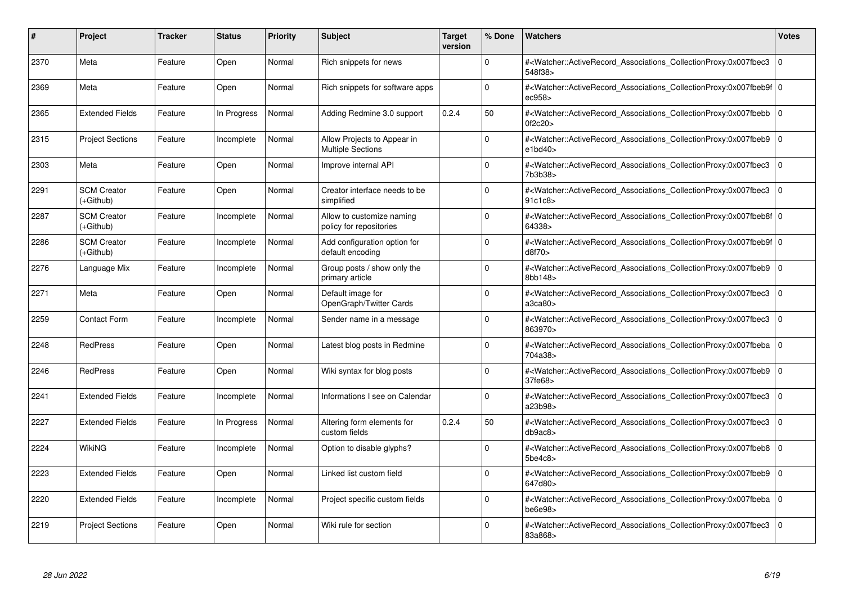| #    | Project                         | Tracker | <b>Status</b> | <b>Priority</b> | <b>Subject</b>                                          | <b>Target</b><br>version | % Done   | <b>Watchers</b>                                                                                                                                           | <b>Votes</b>   |
|------|---------------------------------|---------|---------------|-----------------|---------------------------------------------------------|--------------------------|----------|-----------------------------------------------------------------------------------------------------------------------------------------------------------|----------------|
| 2370 | Meta                            | Feature | Open          | Normal          | Rich snippets for news                                  |                          | $\Omega$ | # <watcher::activerecord associations="" collectionproxy:0x007fbec3<br="">548f38&gt;</watcher::activerecord>                                              | $\Omega$       |
| 2369 | Meta                            | Feature | Open          | Normal          | Rich snippets for software apps                         |                          | $\Omega$ | # <watcher::activerecord 0<br="" associations="" collectionproxy:0x007fbeb9f=""  ="">ec958&gt;</watcher::activerecord>                                    |                |
| 2365 | <b>Extended Fields</b>          | Feature | In Progress   | Normal          | Adding Redmine 3.0 support                              | 0.2.4                    | 50       | # <watcher::activerecord_associations_collectionproxy:0x007fbebb<br>0f2c20</watcher::activerecord_associations_collectionproxy:0x007fbebb<br>             | $\Omega$       |
| 2315 | <b>Project Sections</b>         | Feature | Incomplete    | Normal          | Allow Projects to Appear in<br><b>Multiple Sections</b> |                          | $\Omega$ | # <watcher::activerecord_associations_collectionproxy:0x007fbeb9 0<br="">e1bd40&gt;</watcher::activerecord_associations_collectionproxy:0x007fbeb9>       |                |
| 2303 | Meta                            | Feature | Open          | Normal          | Improve internal API                                    |                          | $\Omega$ | # <watcher::activerecord_associations_collectionproxy:0x007fbec3<br>7b3b38&gt;</watcher::activerecord_associations_collectionproxy:0x007fbec3<br>         | $\mathbf 0$    |
| 2291 | <b>SCM Creator</b><br>(+Github) | Feature | Open          | Normal          | Creator interface needs to be<br>simplified             |                          | $\Omega$ | # <watcher::activerecord_associations_collectionproxy:0x007fbec3<br>91c1c8</watcher::activerecord_associations_collectionproxy:0x007fbec3<br>             | l o            |
| 2287 | <b>SCM Creator</b><br>(+Github) | Feature | Incomplete    | Normal          | Allow to customize naming<br>policy for repositories    |                          | $\Omega$ | # <watcher::activerecord 0<br="" associations="" collectionproxy:0x007fbeb8f=""  ="">64338&gt;</watcher::activerecord>                                    |                |
| 2286 | <b>SCM Creator</b><br>(+Github) | Feature | Incomplete    | Normal          | Add configuration option for<br>default encoding        |                          | $\Omega$ | # <watcher::activerecord_associations_collectionproxy:0x007fbeb9f 0<br=""  ="">d8f70&gt;</watcher::activerecord_associations_collectionproxy:0x007fbeb9f> |                |
| 2276 | Language Mix                    | Feature | Incomplete    | Normal          | Group posts / show only the<br>primary article          |                          | $\Omega$ | # <watcher::activerecord_associations_collectionproxy:0x007fbeb9<br>8bb148&gt;</watcher::activerecord_associations_collectionproxy:0x007fbeb9<br>         | l 0            |
| 2271 | Meta                            | Feature | Open          | Normal          | Default image for<br>OpenGraph/Twitter Cards            |                          | $\Omega$ | # <watcher::activerecord 0<br="" associations="" collectionproxy:0x007fbec3=""  ="">a3ca80&gt;</watcher::activerecord>                                    |                |
| 2259 | <b>Contact Form</b>             | Feature | Incomplete    | Normal          | Sender name in a message                                |                          | $\Omega$ | # <watcher::activerecord_associations_collectionproxy:0x007fbec3<br>863970&gt;</watcher::activerecord_associations_collectionproxy:0x007fbec3<br>         | $\overline{0}$ |
| 2248 | <b>RedPress</b>                 | Feature | Open          | Normal          | Latest blog posts in Redmine                            |                          | $\Omega$ | # <watcher::activerecord_associations_collectionproxy:0x007fbeba 0<br=""  ="">704a38&gt;</watcher::activerecord_associations_collectionproxy:0x007fbeba>  |                |
| 2246 | <b>RedPress</b>                 | Feature | Open          | Normal          | Wiki syntax for blog posts                              |                          | $\Omega$ | # <watcher::activerecord 0<br="" associations="" collectionproxy:0x007fbeb9=""  ="">37fe68&gt;</watcher::activerecord>                                    |                |
| 2241 | <b>Extended Fields</b>          | Feature | Incomplete    | Normal          | Informations I see on Calendar                          |                          | $\Omega$ | # <watcher::activerecord_associations_collectionproxy:0x007fbec3 0<br="">a23b98&gt;</watcher::activerecord_associations_collectionproxy:0x007fbec3>       |                |
| 2227 | <b>Extended Fields</b>          | Feature | In Progress   | Normal          | Altering form elements for<br>custom fields             | 0.2.4                    | 50       | # <watcher::activerecord associations="" collectionproxy:0x007fbec3<br="">db9ac8</watcher::activerecord>                                                  | l 0            |
| 2224 | WikiNG                          | Feature | Incomplete    | Normal          | Option to disable glyphs?                               |                          | $\Omega$ | # <watcher::activerecord_associations_collectionproxy:0x007fbeb8 0<br=""  ="">5be4c8</watcher::activerecord_associations_collectionproxy:0x007fbeb8>      |                |
| 2223 | <b>Extended Fields</b>          | Feature | Open          | Normal          | Linked list custom field                                |                          | $\Omega$ | # <watcher::activerecord_associations_collectionproxy:0x007fbeb9 0<br=""  ="">647d80&gt;</watcher::activerecord_associations_collectionproxy:0x007fbeb9>  |                |
| 2220 | <b>Extended Fields</b>          | Feature | Incomplete    | Normal          | Project specific custom fields                          |                          | $\Omega$ | # <watcher::activerecord 0<br="" associations="" collectionproxy:0x007fbeba=""  ="">be6e98&gt;</watcher::activerecord>                                    |                |
| 2219 | <b>Project Sections</b>         | Feature | Open          | Normal          | Wiki rule for section                                   |                          | $\Omega$ | # <watcher::activerecord associations="" collectionproxy:0x007fbec3<br="">83a868&gt;</watcher::activerecord>                                              | $\Omega$       |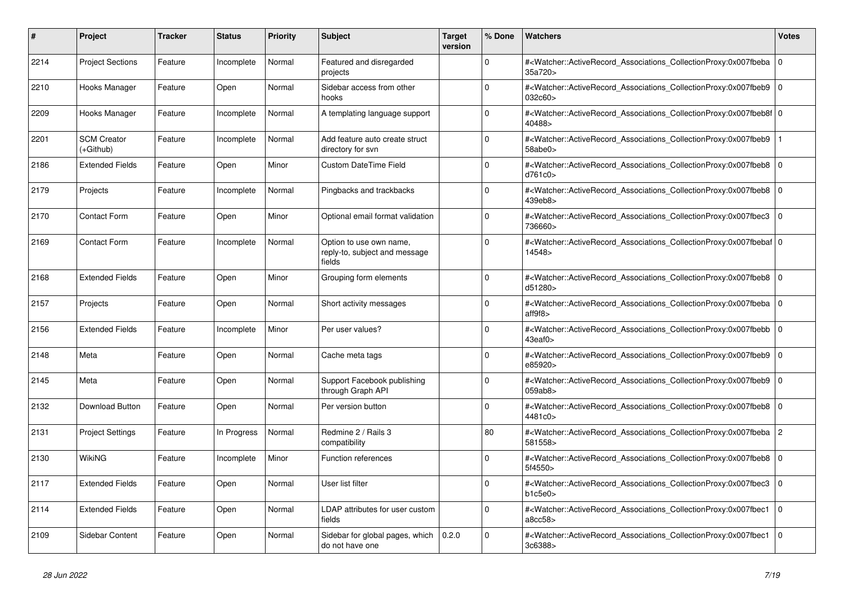| #    | <b>Project</b>                  | Tracker | <b>Status</b> | <b>Priority</b> | <b>Subject</b>                                                     | <b>Target</b><br>version | % Done   | <b>Watchers</b>                                                                                                                                                               | <b>Votes</b>   |
|------|---------------------------------|---------|---------------|-----------------|--------------------------------------------------------------------|--------------------------|----------|-------------------------------------------------------------------------------------------------------------------------------------------------------------------------------|----------------|
| 2214 | <b>Project Sections</b>         | Feature | Incomplete    | Normal          | Featured and disregarded<br>projects                               |                          | $\Omega$ | # <watcher::activerecord_associations_collectionproxy:0x007fbeba<br>35a720&gt;</watcher::activerecord_associations_collectionproxy:0x007fbeba<br>                             | $\overline{0}$ |
| 2210 | Hooks Manager                   | Feature | Open          | Normal          | Sidebar access from other<br>hooks                                 |                          | $\Omega$ | # <watcher::activerecord_associations_collectionproxy:0x007fbeb9<br>032c60&gt;</watcher::activerecord_associations_collectionproxy:0x007fbeb9<br>                             | $\overline{0}$ |
| 2209 | Hooks Manager                   | Feature | Incomplete    | Normal          | A templating language support                                      |                          | $\Omega$ | # <watcher::activerecord 0<br="" associations="" collectionproxy:0x007fbeb8f=""  ="">40488&gt;</watcher::activerecord>                                                        |                |
| 2201 | <b>SCM Creator</b><br>(+Github) | Feature | Incomplete    | Normal          | Add feature auto create struct<br>directory for svn                |                          | $\Omega$ | # <watcher::activerecord_associations_collectionproxy:0x007fbeb9<br>58abc0&gt;</watcher::activerecord_associations_collectionproxy:0x007fbeb9<br>                             |                |
| 2186 | <b>Extended Fields</b>          | Feature | Open          | Minor           | <b>Custom DateTime Field</b>                                       |                          | $\Omega$ | # <watcher::activerecord_associations_collectionproxy:0x007fbeb8 0<br="">d761c0&gt;</watcher::activerecord_associations_collectionproxy:0x007fbeb8>                           |                |
| 2179 | Projects                        | Feature | Incomplete    | Normal          | Pingbacks and trackbacks                                           |                          | $\Omega$ | # <watcher::activerecord 0<br="" associations="" collectionproxy:0x007fbeb8="">439eb8&gt;</watcher::activerecord>                                                             |                |
| 2170 | <b>Contact Form</b>             | Feature | Open          | Minor           | Optional email format validation                                   |                          | $\Omega$ | # <watcher::activerecord associations="" collectionproxy:0x007fbec3<br="">736660&gt;</watcher::activerecord>                                                                  | $\mathbf 0$    |
| 2169 | <b>Contact Form</b>             | Feature | Incomplete    | Normal          | Option to use own name,<br>reply-to, subject and message<br>fields |                          | $\Omega$ | # <watcher::activerecord_associations_collectionproxy:0x007fbebaf 0<br=""  ="">14548&gt;</watcher::activerecord_associations_collectionproxy:0x007fbebaf>                     |                |
| 2168 | <b>Extended Fields</b>          | Feature | Open          | Minor           | Grouping form elements                                             |                          | $\Omega$ | # <watcher::activerecord 0<br="" associations="" collectionproxy:0x007fbeb8=""  ="">d51280&gt;</watcher::activerecord>                                                        |                |
| 2157 | Projects                        | Feature | Open          | Normal          | Short activity messages                                            |                          | $\Omega$ | # <watcher::activerecord_associations_collectionproxy:0x007fbeba 0<br=""  ="">aff9f8</watcher::activerecord_associations_collectionproxy:0x007fbeba>                          |                |
| 2156 | <b>Extended Fields</b>          | Feature | Incomplete    | Minor           | Per user values?                                                   |                          | $\Omega$ | # <watcher::activerecord_associations_collectionproxy:0x007fbebb 0<br=""><math>43</math>eaf<math>0\geq</math></watcher::activerecord_associations_collectionproxy:0x007fbebb> |                |
| 2148 | Meta                            | Feature | Open          | Normal          | Cache meta tags                                                    |                          | $\Omega$ | # <watcher::activerecord 0<br="" associations="" collectionproxy:0x007fbeb9=""  ="">e85920&gt;</watcher::activerecord>                                                        |                |
| 2145 | Meta                            | Feature | Open          | Normal          | Support Facebook publishing<br>through Graph API                   |                          | $\Omega$ | # <watcher::activerecord_associations_collectionproxy:0x007fbeb9<br>059ab8&gt;</watcher::activerecord_associations_collectionproxy:0x007fbeb9<br>                             | $\Omega$       |
| 2132 | Download Button                 | Feature | Open          | Normal          | Per version button                                                 |                          | $\Omega$ | # <watcher::activerecord_associations_collectionproxy:0x007fbeb8 0<br="">4481c0&gt;</watcher::activerecord_associations_collectionproxy:0x007fbeb8>                           |                |
| 2131 | <b>Project Settings</b>         | Feature | In Progress   | Normal          | Redmine 2 / Rails 3<br>compatibility                               |                          | 80       | # <watcher::activerecord_associations_collectionproxy:0x007fbeba 2<br=""  ="">581558&gt;</watcher::activerecord_associations_collectionproxy:0x007fbeba>                      |                |
| 2130 | WikiNG                          | Feature | Incomplete    | Minor           | Function references                                                |                          | $\Omega$ | # <watcher::activerecord_associations_collectionproxy:0x007fbeb8<br>5f4550&gt;</watcher::activerecord_associations_collectionproxy:0x007fbeb8<br>                             | $\Omega$       |
| 2117 | <b>Extended Fields</b>          | Feature | Open          | Normal          | User list filter                                                   |                          | $\Omega$ | # <watcher::activerecord associations="" collectionproxy:0x007fbec3<br="">b1c5e0</watcher::activerecord>                                                                      | l 0            |
| 2114 | <b>Extended Fields</b>          | Feature | Open          | Normal          | LDAP attributes for user custom<br>fields                          |                          | $\Omega$ | # <watcher::activerecord_associations_collectionproxy:0x007fbec1<br>a8cc58&gt;</watcher::activerecord_associations_collectionproxy:0x007fbec1<br>                             | $\mathbf 0$    |
| 2109 | Sidebar Content                 | Feature | Open          | Normal          | Sidebar for global pages, which<br>do not have one                 | 0.2.0                    | $\Omega$ | # <watcher::activerecord_associations_collectionproxy:0x007fbec1<br>3c6388&gt;</watcher::activerecord_associations_collectionproxy:0x007fbec1<br>                             | $\Omega$       |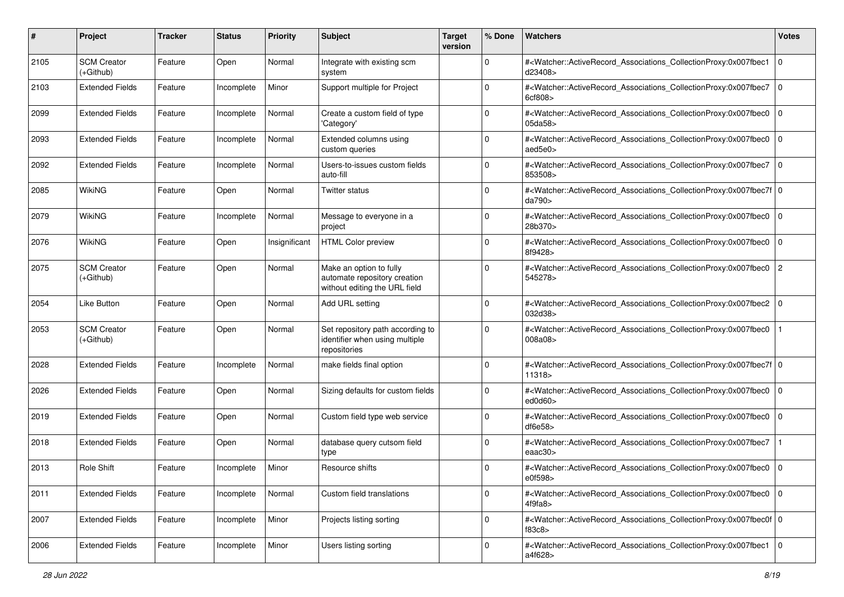| #    | Project                         | <b>Tracker</b> | <b>Status</b> | <b>Priority</b> | <b>Subject</b>                                                                           | <b>Target</b><br>version | % Done      | Watchers                                                                                                                                                  | <b>Votes</b>   |
|------|---------------------------------|----------------|---------------|-----------------|------------------------------------------------------------------------------------------|--------------------------|-------------|-----------------------------------------------------------------------------------------------------------------------------------------------------------|----------------|
| 2105 | <b>SCM Creator</b><br>(+Github) | Feature        | Open          | Normal          | Integrate with existing scm<br>system                                                    |                          | 0           | # <watcher::activerecord_associations_collectionproxy:0x007fbec1<br>d23408&gt;</watcher::activerecord_associations_collectionproxy:0x007fbec1<br>         | $\mathbf 0$    |
| 2103 | <b>Extended Fields</b>          | Feature        | Incomplete    | Minor           | Support multiple for Project                                                             |                          | $\Omega$    | # <watcher::activerecord_associations_collectionproxy:0x007fbec7<br>6cf808&gt;</watcher::activerecord_associations_collectionproxy:0x007fbec7<br>         | $\mathbf 0$    |
| 2099 | <b>Extended Fields</b>          | Feature        | Incomplete    | Normal          | Create a custom field of type<br>'Category'                                              |                          | $\Omega$    | # <watcher::activerecord_associations_collectionproxy:0x007fbec0<br>05da58&gt;</watcher::activerecord_associations_collectionproxy:0x007fbec0<br>         | $\mathbf 0$    |
| 2093 | <b>Extended Fields</b>          | Feature        | Incomplete    | Normal          | Extended columns using<br>custom queries                                                 |                          | $\mathbf 0$ | # <watcher::activerecord_associations_collectionproxy:0x007fbec0<br>aed5e0&gt;</watcher::activerecord_associations_collectionproxy:0x007fbec0<br>         | $\mathbf 0$    |
| 2092 | <b>Extended Fields</b>          | Feature        | Incomplete    | Normal          | Users-to-issues custom fields<br>auto-fill                                               |                          | $\Omega$    | # <watcher::activerecord associations="" collectionproxy:0x007fbec7<br="">853508&gt;</watcher::activerecord>                                              | $\mathbf 0$    |
| 2085 | WikiNG                          | Feature        | Open          | Normal          | Twitter status                                                                           |                          | $\Omega$    | # <watcher::activerecord_associations_collectionproxy:0x007fbec7f 0<br=""  ="">da790&gt;</watcher::activerecord_associations_collectionproxy:0x007fbec7f> |                |
| 2079 | WikiNG                          | Feature        | Incomplete    | Normal          | Message to everyone in a<br>project                                                      |                          | $\mathbf 0$ | # <watcher::activerecord_associations_collectionproxy:0x007fbec0<br>28b370&gt;</watcher::activerecord_associations_collectionproxy:0x007fbec0<br>         | $\mathbf 0$    |
| 2076 | WikiNG                          | Feature        | Open          | Insignificant   | <b>HTML Color preview</b>                                                                |                          | 0           | # <watcher::activerecord_associations_collectionproxy:0x007fbec0<br>8f9428&gt;</watcher::activerecord_associations_collectionproxy:0x007fbec0<br>         | $\mathbf 0$    |
| 2075 | <b>SCM Creator</b><br>(+Github) | Feature        | Open          | Normal          | Make an option to fully<br>automate repository creation<br>without editing the URL field |                          | $\Omega$    | # <watcher::activerecord_associations_collectionproxy:0x007fbec0<br>545278&gt;</watcher::activerecord_associations_collectionproxy:0x007fbec0<br>         | $\overline{c}$ |
| 2054 | Like Button                     | Feature        | Open          | Normal          | Add URL setting                                                                          |                          | $\mathbf 0$ | # <watcher::activerecord_associations_collectionproxy:0x007fbec2 0<br=""  ="">032d38&gt;</watcher::activerecord_associations_collectionproxy:0x007fbec2>  |                |
| 2053 | <b>SCM Creator</b><br>(+Github) | Feature        | Open          | Normal          | Set repository path according to<br>identifier when using multiple<br>repositories       |                          | $\Omega$    | # <watcher::activerecord_associations_collectionproxy:0x007fbec0<br>008a08&gt;</watcher::activerecord_associations_collectionproxy:0x007fbec0<br>         |                |
| 2028 | <b>Extended Fields</b>          | Feature        | Incomplete    | Normal          | make fields final option                                                                 |                          | $\Omega$    | # <watcher::activerecord_associations_collectionproxy:0x007fbec7f 0<br=""  ="">11318&gt;</watcher::activerecord_associations_collectionproxy:0x007fbec7f> |                |
| 2026 | <b>Extended Fields</b>          | Feature        | Open          | Normal          | Sizing defaults for custom fields                                                        |                          | $\Omega$    | # <watcher::activerecord_associations_collectionproxy:0x007fbec0<br>ed0d60</watcher::activerecord_associations_collectionproxy:0x007fbec0<br>             | $\mathbf 0$    |
| 2019 | <b>Extended Fields</b>          | Feature        | Open          | Normal          | Custom field type web service                                                            |                          | $\Omega$    | # <watcher::activerecord_associations_collectionproxy:0x007fbec0<br>df6e58</watcher::activerecord_associations_collectionproxy:0x007fbec0<br>             | $\mathbf 0$    |
| 2018 | <b>Extended Fields</b>          | Feature        | Open          | Normal          | database query cutsom field<br>type                                                      |                          | $\Omega$    | # <watcher::activerecord_associations_collectionproxy:0x007fbec7<br>eaac30&gt;</watcher::activerecord_associations_collectionproxy:0x007fbec7<br>         |                |
| 2013 | Role Shift                      | Feature        | Incomplete    | Minor           | Resource shifts                                                                          |                          | $\Omega$    | # <watcher::activerecord_associations_collectionproxy:0x007fbec0<br>e0f598&gt;</watcher::activerecord_associations_collectionproxy:0x007fbec0<br>         | l O            |
| 2011 | <b>Extended Fields</b>          | Feature        | Incomplete    | Normal          | Custom field translations                                                                |                          | $\mathbf 0$ | # <watcher::activerecord 0<br="" associations="" collectionproxy:0x007fbec0="">4f9fa8</watcher::activerecord>                                             |                |
| 2007 | <b>Extended Fields</b>          | Feature        | Incomplete    | Minor           | Projects listing sorting                                                                 |                          | $\mathbf 0$ | # <watcher::activerecord 0<br="" associations="" collectionproxy:0x007fbec0f="">f83c8</watcher::activerecord>                                             |                |
| 2006 | <b>Extended Fields</b>          | Feature        | Incomplete    | Minor           | Users listing sorting                                                                    |                          | $\mathbf 0$ | # <watcher::activerecord_associations_collectionproxy:0x007fbec1 0<br="">a4f628&gt;</watcher::activerecord_associations_collectionproxy:0x007fbec1>       |                |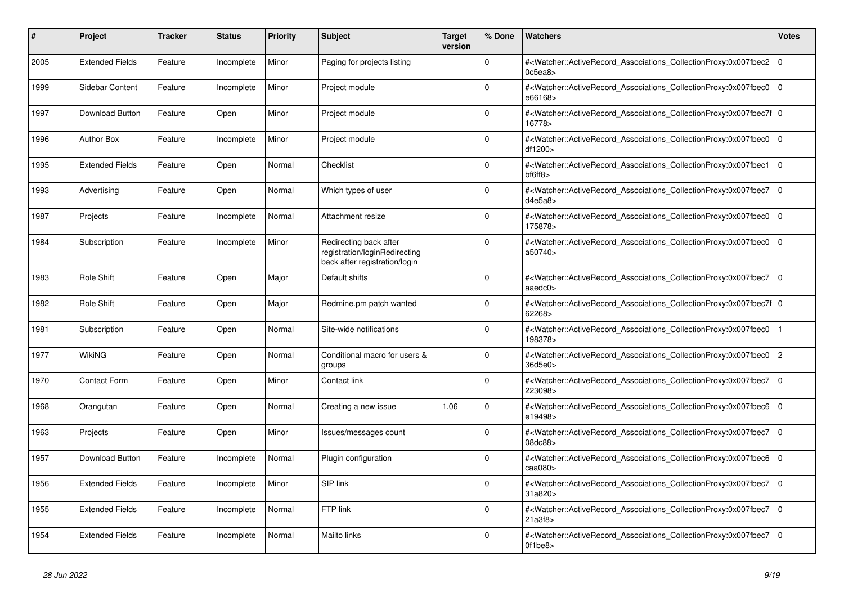| #    | <b>Project</b>         | Tracker | <b>Status</b> | <b>Priority</b> | <b>Subject</b>                                                                           | <b>Target</b><br>version | % Done   | <b>Watchers</b>                                                                                                                                                             | <b>Votes</b>   |
|------|------------------------|---------|---------------|-----------------|------------------------------------------------------------------------------------------|--------------------------|----------|-----------------------------------------------------------------------------------------------------------------------------------------------------------------------------|----------------|
| 2005 | <b>Extended Fields</b> | Feature | Incomplete    | Minor           | Paging for projects listing                                                              |                          | $\Omega$ | # <watcher::activerecord_associations_collectionproxy:0x007fbec2<br>0c5ea8</watcher::activerecord_associations_collectionproxy:0x007fbec2<br>                               | $\mathbf 0$    |
| 1999 | Sidebar Content        | Feature | Incomplete    | Minor           | Project module                                                                           |                          | $\Omega$ | # <watcher::activerecord_associations_collectionproxy:0x007fbec0<br>e66168&gt;</watcher::activerecord_associations_collectionproxy:0x007fbec0<br>                           | $\mathbf 0$    |
| 1997 | Download Button        | Feature | Open          | Minor           | Project module                                                                           |                          | $\Omega$ | # <watcher::activerecord_associations_collectionproxy:0x007fbec7f 0<br=""  ="">16778&gt;</watcher::activerecord_associations_collectionproxy:0x007fbec7f>                   |                |
| 1996 | <b>Author Box</b>      | Feature | Incomplete    | Minor           | Project module                                                                           |                          | $\Omega$ | # <watcher::activerecord_associations_collectionproxy:0x007fbec0<br>df1200&gt;</watcher::activerecord_associations_collectionproxy:0x007fbec0<br>                           | $\Omega$       |
| 1995 | <b>Extended Fields</b> | Feature | Open          | Normal          | Checklist                                                                                |                          | $\Omega$ | # <watcher::activerecord_associations_collectionproxy:0x007fbec1<br><math>b</math>f6ff8<math>&gt;</math></watcher::activerecord_associations_collectionproxy:0x007fbec1<br> | $\mathbf 0$    |
| 1993 | Advertising            | Feature | Open          | Normal          | Which types of user                                                                      |                          | $\Omega$ | # <watcher::activerecord associations="" collectionproxy:0x007fbec7<br="">d4e5a8</watcher::activerecord>                                                                    | $\mathbf 0$    |
| 1987 | Projects               | Feature | Incomplete    | Normal          | Attachment resize                                                                        |                          | $\Omega$ | # <watcher::activerecord associations="" collectionproxy:0x007fbec0<br="">175878&gt;</watcher::activerecord>                                                                | $\mathbf 0$    |
| 1984 | Subscription           | Feature | Incomplete    | Minor           | Redirecting back after<br>registration/loginRedirecting<br>back after registration/login |                          | $\Omega$ | # <watcher::activerecord_associations_collectionproxy:0x007fbec0<br>a50740&gt;</watcher::activerecord_associations_collectionproxy:0x007fbec0<br>                           | $\mathbf 0$    |
| 1983 | <b>Role Shift</b>      | Feature | Open          | Major           | Default shifts                                                                           |                          | $\Omega$ | # <watcher::activerecord_associations_collectionproxy:0x007fbec7<br>aaed<math>c0</math></watcher::activerecord_associations_collectionproxy:0x007fbec7<br>                  | $\mathbf 0$    |
| 1982 | <b>Role Shift</b>      | Feature | Open          | Major           | Redmine.pm patch wanted                                                                  |                          | $\Omega$ | # <watcher::activerecord_associations_collectionproxy:0x007fbec7f 0<br=""  ="">62268&gt;</watcher::activerecord_associations_collectionproxy:0x007fbec7f>                   |                |
| 1981 | Subscription           | Feature | Open          | Normal          | Site-wide notifications                                                                  |                          | $\Omega$ | # <watcher::activerecord associations="" collectionproxy:0x007fbec0<br="">198378&gt;</watcher::activerecord>                                                                |                |
| 1977 | <b>WikiNG</b>          | Feature | Open          | Normal          | Conditional macro for users &<br>groups                                                  |                          | $\Omega$ | # <watcher::activerecord associations="" collectionproxy:0x007fbec0<br="">36d5e0&gt;</watcher::activerecord>                                                                | $\overline{c}$ |
| 1970 | <b>Contact Form</b>    | Feature | Open          | Minor           | Contact link                                                                             |                          | $\Omega$ | # <watcher::activerecord_associations_collectionproxy:0x007fbec7<br>223098&gt;</watcher::activerecord_associations_collectionproxy:0x007fbec7<br>                           | $\mathbf{0}$   |
| 1968 | Orangutan              | Feature | Open          | Normal          | Creating a new issue                                                                     | 1.06                     | $\Omega$ | # <watcher::activerecord_associations_collectionproxy:0x007fbec6 0<br=""  ="">e19498&gt;</watcher::activerecord_associations_collectionproxy:0x007fbec6>                    |                |
| 1963 | Projects               | Feature | Open          | Minor           | Issues/messages count                                                                    |                          | $\Omega$ | # <watcher::activerecord_associations_collectionproxy:0x007fbec7<br>08dc88&gt;</watcher::activerecord_associations_collectionproxy:0x007fbec7<br>                           | $\mathbf 0$    |
| 1957 | Download Button        | Feature | Incomplete    | Normal          | Plugin configuration                                                                     |                          | $\Omega$ | # <watcher::activerecord_associations_collectionproxy:0x007fbec6<br>caa080&gt;</watcher::activerecord_associations_collectionproxy:0x007fbec6<br>                           | $\mathbf 0$    |
| 1956 | <b>Extended Fields</b> | Feature | Incomplete    | Minor           | SIP link                                                                                 |                          | $\Omega$ | # <watcher::activerecord_associations_collectionproxy:0x007fbec7 0<br=""  ="">31a820</watcher::activerecord_associations_collectionproxy:0x007fbec7>                        |                |
| 1955 | <b>Extended Fields</b> | Feature | Incomplete    | Normal          | FTP link                                                                                 |                          | $\Omega$ | # <watcher::activerecord associations="" collectionproxy:0x007fbec7<br="">21a3f8</watcher::activerecord>                                                                    | $\mathbf{0}$   |
| 1954 | <b>Extended Fields</b> | Feature | Incomplete    | Normal          | <b>Mailto links</b>                                                                      |                          | $\Omega$ | # <watcher::activerecord_associations_collectionproxy:0x007fbec7<br>Of1be8&gt;</watcher::activerecord_associations_collectionproxy:0x007fbec7<br>                           | $\mathbf 0$    |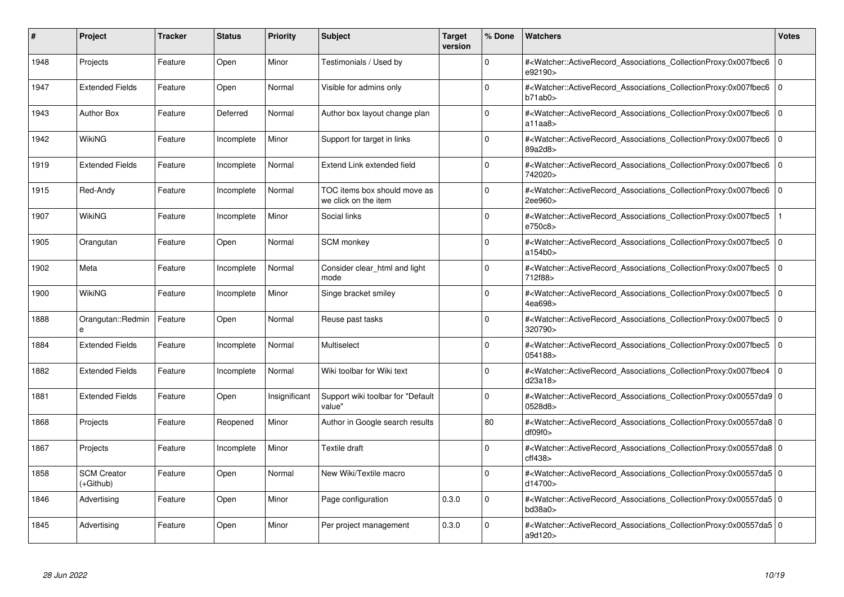| #    | Project                         | <b>Tracker</b> | <b>Status</b> | <b>Priority</b> | <b>Subject</b>                                       | <b>Target</b><br>version | % Done      | <b>Watchers</b>                                                                                                                                          | <b>Votes</b> |
|------|---------------------------------|----------------|---------------|-----------------|------------------------------------------------------|--------------------------|-------------|----------------------------------------------------------------------------------------------------------------------------------------------------------|--------------|
| 1948 | Projects                        | Feature        | Open          | Minor           | Testimonials / Used by                               |                          | $\Omega$    | # <watcher::activerecord associations="" collectionproxy:0x007fbec6<br="">e92190&gt;</watcher::activerecord>                                             | $\mathbf 0$  |
| 1947 | <b>Extended Fields</b>          | Feature        | Open          | Normal          | Visible for admins only                              |                          | $\Omega$    | # <watcher::activerecord associations="" collectionproxy:0x007fbec6<br="">b71ab0</watcher::activerecord>                                                 | $\mathbf 0$  |
| 1943 | <b>Author Box</b>               | Feature        | Deferred      | Normal          | Author box layout change plan                        |                          | $\Omega$    | # <watcher::activerecord_associations_collectionproxy:0x007fbec6<br>a11aa8</watcher::activerecord_associations_collectionproxy:0x007fbec6<br>            | $\Omega$     |
| 1942 | <b>WikiNG</b>                   | Feature        | Incomplete    | Minor           | Support for target in links                          |                          | $\Omega$    | # <watcher::activerecord_associations_collectionproxy:0x007fbec6  <br="">89a2d8&gt;</watcher::activerecord_associations_collectionproxy:0x007fbec6>      | $\mathbf 0$  |
| 1919 | <b>Extended Fields</b>          | Feature        | Incomplete    | Normal          | Extend Link extended field                           |                          | $\Omega$    | # <watcher::activerecord associations="" collectionproxy:0x007fbec6<br="">742020&gt;</watcher::activerecord>                                             | $\mathbf 0$  |
| 1915 | Red-Andy                        | Feature        | Incomplete    | Normal          | TOC items box should move as<br>we click on the item |                          | $\Omega$    | # <watcher::activerecord_associations_collectionproxy:0x007fbec6<br>2ee960&gt;</watcher::activerecord_associations_collectionproxy:0x007fbec6<br>        | $\Omega$     |
| 1907 | <b>WikiNG</b>                   | Feature        | Incomplete    | Minor           | Social links                                         |                          | $\Omega$    | # <watcher::activerecord associations="" collectionproxy:0x007fbec5<br="">e750c8&gt;</watcher::activerecord>                                             |              |
| 1905 | Orangutan                       | Feature        | Open          | Normal          | <b>SCM</b> monkey                                    |                          | $\Omega$    | # <watcher::activerecord associations="" collectionproxy:0x007fbec5<br="">a154b0&gt;</watcher::activerecord>                                             | $\mathbf 0$  |
| 1902 | Meta                            | Feature        | Incomplete    | Normal          | Consider clear html and light<br>mode                |                          | $\Omega$    | # <watcher::activerecord associations="" collectionproxy:0x007fbec5<br="">712f88&gt;</watcher::activerecord>                                             | $\mathbf 0$  |
| 1900 | <b>WikiNG</b>                   | Feature        | Incomplete    | Minor           | Singe bracket smiley                                 |                          | $\Omega$    | # <watcher::activerecord associations="" collectionproxy:0x007fbec5<br="">4ea698&gt;</watcher::activerecord>                                             | $\mathbf 0$  |
| 1888 | Orangutan::Redmin<br>e          | Feature        | Open          | Normal          | Reuse past tasks                                     |                          | $\Omega$    | # <watcher::activerecord associations="" collectionproxy:0x007fbec5=""  <br="">320790&gt;</watcher::activerecord>                                        | $\mathbf 0$  |
| 1884 | <b>Extended Fields</b>          | Feature        | Incomplete    | Normal          | Multiselect                                          |                          | $\Omega$    | # <watcher::activerecord associations="" collectionproxy:0x007fbec5<br="">054188&gt;</watcher::activerecord>                                             | $\mathbf 0$  |
| 1882 | <b>Extended Fields</b>          | Feature        | Incomplete    | Normal          | Wiki toolbar for Wiki text                           |                          | $\Omega$    | # <watcher::activerecord_associations_collectionproxy:0x007fbec4  <br="">d23a18</watcher::activerecord_associations_collectionproxy:0x007fbec4>          | $\mathbf 0$  |
| 1881 | <b>Extended Fields</b>          | Feature        | Open          | Insignificant   | Support wiki toolbar for "Default"<br>value"         |                          | $\Omega$    | # <watcher::activerecord 0<br="" associations="" collectionproxy:0x00557da9=""  ="">0528d8&gt;</watcher::activerecord>                                   |              |
| 1868 | Projects                        | Feature        | Reopened      | Minor           | Author in Google search results                      |                          | 80          | # <watcher::activerecord 0<br="" associations="" collectionproxy:0x00557da8=""  ="">df09f0&gt;</watcher::activerecord>                                   |              |
| 1867 | Projects                        | Feature        | Incomplete    | Minor           | <b>Textile draft</b>                                 |                          | $\Omega$    | # <watcher::activerecord_associations_collectionproxy:0x00557da8 0<br=""  ="">cff438</watcher::activerecord_associations_collectionproxy:0x00557da8>     |              |
| 1858 | <b>SCM Creator</b><br>(+Github) | Feature        | Open          | Normal          | New Wiki/Textile macro                               |                          | $\Omega$    | # <watcher::activerecord 0<br="" associations="" collectionproxy:0x00557da5=""  ="">d14700&gt;</watcher::activerecord>                                   |              |
| 1846 | Advertising                     | Feature        | Open          | Minor           | Page configuration                                   | 0.3.0                    | $\mathbf 0$ | # <watcher::activerecord_associations_collectionproxy:0x00557da5 0<br=""  ="">bd38a0&gt;</watcher::activerecord_associations_collectionproxy:0x00557da5> |              |
| 1845 | Advertising                     | Feature        | Open          | Minor           | Per project management                               | 0.3.0                    | $\Omega$    | # <watcher::activerecord_associations_collectionproxy:0x00557da5 0<br=""  ="">a9d120&gt;</watcher::activerecord_associations_collectionproxy:0x00557da5> |              |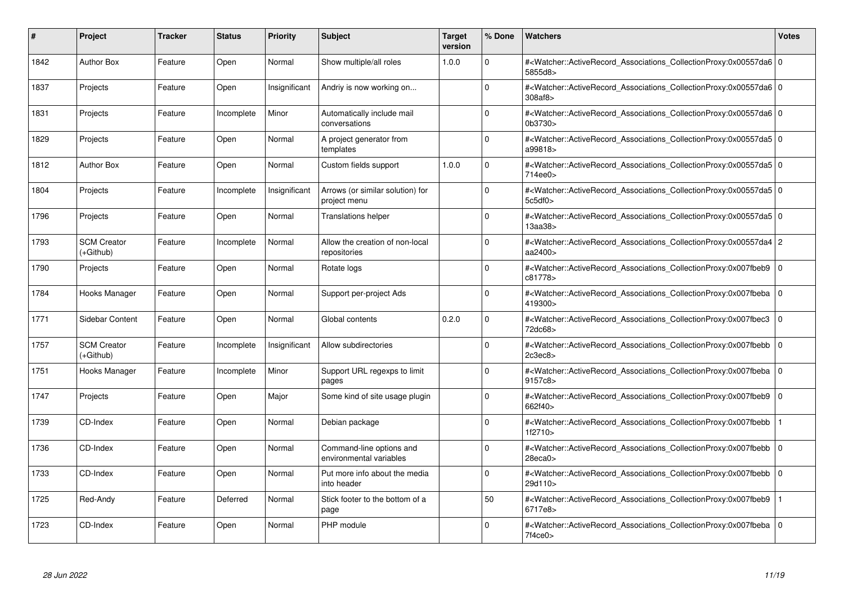| #    | Project                         | <b>Tracker</b> | <b>Status</b> | <b>Priority</b> | <b>Subject</b>                                      | <b>Target</b><br>version | % Done      | <b>Watchers</b>                                                                                                                                          | <b>Votes</b> |
|------|---------------------------------|----------------|---------------|-----------------|-----------------------------------------------------|--------------------------|-------------|----------------------------------------------------------------------------------------------------------------------------------------------------------|--------------|
| 1842 | <b>Author Box</b>               | Feature        | Open          | Normal          | Show multiple/all roles                             | 1.0.0                    | $\Omega$    | # <watcher::activerecord_associations_collectionproxy:0x00557da6 0<br=""  ="">5855d8&gt;</watcher::activerecord_associations_collectionproxy:0x00557da6> |              |
| 1837 | Projects                        | Feature        | Open          | Insignificant   | Andriy is now working on                            |                          | $\Omega$    | # <watcher::activerecord 0<br="" associations="" collectionproxy:0x00557da6=""  ="">308af8&gt;</watcher::activerecord>                                   |              |
| 1831 | Projects                        | Feature        | Incomplete    | Minor           | Automatically include mail<br>conversations         |                          | $\Omega$    | # <watcher::activerecord 0<br="" associations="" collectionproxy:0x00557da6=""  ="">0b3730&gt;</watcher::activerecord>                                   |              |
| 1829 | Projects                        | Feature        | Open          | Normal          | A project generator from<br>templates               |                          | $\Omega$    | # <watcher::activerecord_associations_collectionproxy:0x00557da5 0<br=""  ="">a99818&gt;</watcher::activerecord_associations_collectionproxy:0x00557da5> |              |
| 1812 | <b>Author Box</b>               | Feature        | Open          | Normal          | Custom fields support                               | 1.0.0                    | $\Omega$    | # <watcher::activerecord 0<br="" associations="" collectionproxy:0x00557da5=""  ="">714ee0&gt;</watcher::activerecord>                                   |              |
| 1804 | Projects                        | Feature        | Incomplete    | Insignificant   | Arrows (or similar solution) for<br>project menu    |                          | $\Omega$    | # <watcher::activerecord 0<br="" associations="" collectionproxy:0x00557da5=""  ="">5c5df0</watcher::activerecord>                                       |              |
| 1796 | Projects                        | Feature        | Open          | Normal          | <b>Translations helper</b>                          |                          | $\Omega$    | # <watcher::activerecord_associations_collectionproxy:0x00557da5 0<br=""  ="">13aa38&gt;</watcher::activerecord_associations_collectionproxy:0x00557da5> |              |
| 1793 | <b>SCM Creator</b><br>(+Github) | Feature        | Incomplete    | Normal          | Allow the creation of non-local<br>repositories     |                          | $\Omega$    | # <watcher::activerecord 2<br="" associations="" collectionproxy:0x00557da4="">aa2400&gt;</watcher::activerecord>                                        |              |
| 1790 | Projects                        | Feature        | Open          | Normal          | Rotate logs                                         |                          | $\Omega$    | # <watcher::activerecord associations="" collectionproxy:0x007fbeb9=""  <br="">c81778&gt;</watcher::activerecord>                                        | $\mathbf 0$  |
| 1784 | Hooks Manager                   | Feature        | Open          | Normal          | Support per-project Ads                             |                          | $\Omega$    | # <watcher::activerecord 0<br="" associations="" collectionproxy:0x007fbeba=""  ="">419300&gt;</watcher::activerecord>                                   |              |
| 1771 | Sidebar Content                 | Feature        | Open          | Normal          | Global contents                                     | 0.2.0                    | $\Omega$    | # <watcher::activerecord_associations_collectionproxy:0x007fbec3<br>72dc68&gt;</watcher::activerecord_associations_collectionproxy:0x007fbec3<br>        | $\mathbf 0$  |
| 1757 | <b>SCM Creator</b><br>(+Github) | Feature        | Incomplete    | Insignificant   | Allow subdirectories                                |                          | $\Omega$    | # <watcher::activerecord_associations_collectionproxy:0x007fbebb<br>2c3ec8</watcher::activerecord_associations_collectionproxy:0x007fbebb<br>            | $\mathbf 0$  |
| 1751 | Hooks Manager                   | Feature        | Incomplete    | Minor           | Support URL regexps to limit<br>pages               |                          | $\Omega$    | # <watcher::activerecord 0<br="" associations="" collectionproxy:0x007fbeba=""  ="">9157c8&gt;</watcher::activerecord>                                   |              |
| 1747 | Projects                        | Feature        | Open          | Major           | Some kind of site usage plugin                      |                          | $\mathbf 0$ | # <watcher::activerecord_associations_collectionproxy:0x007fbeb9<br>662f40&gt;</watcher::activerecord_associations_collectionproxy:0x007fbeb9<br>        | $\mathbf 0$  |
| 1739 | CD-Index                        | Feature        | Open          | Normal          | Debian package                                      |                          | $\Omega$    | # <watcher::activerecord associations="" collectionproxy:0x007fbebb<br="">1f2710&gt;</watcher::activerecord>                                             |              |
| 1736 | CD-Index                        | Feature        | Open          | Normal          | Command-line options and<br>environmental variables |                          | $\Omega$    | # <watcher::activerecord associations="" collectionproxy:0x007fbebb<br="">28eca0</watcher::activerecord>                                                 | $\mathbf 0$  |
| 1733 | CD-Index                        | Feature        | Open          | Normal          | Put more info about the media<br>into header        |                          | $\Omega$    | # <watcher::activerecord associations="" collectionproxy:0x007fbebb=""  <br="">29d110&gt;</watcher::activerecord>                                        | $\mathbf 0$  |
| 1725 | Red-Andy                        | Feature        | Deferred      | Normal          | Stick footer to the bottom of a<br>page             |                          | 50          | # <watcher::activerecord associations="" collectionproxy:0x007fbeb9<br="">6717e8&gt;</watcher::activerecord>                                             |              |
| 1723 | CD-Index                        | Feature        | Open          | Normal          | PHP module                                          |                          | $\Omega$    | # <watcher::activerecord_associations_collectionproxy:0x007fbeba 0<br=""  ="">7f4ce0&gt;</watcher::activerecord_associations_collectionproxy:0x007fbeba> |              |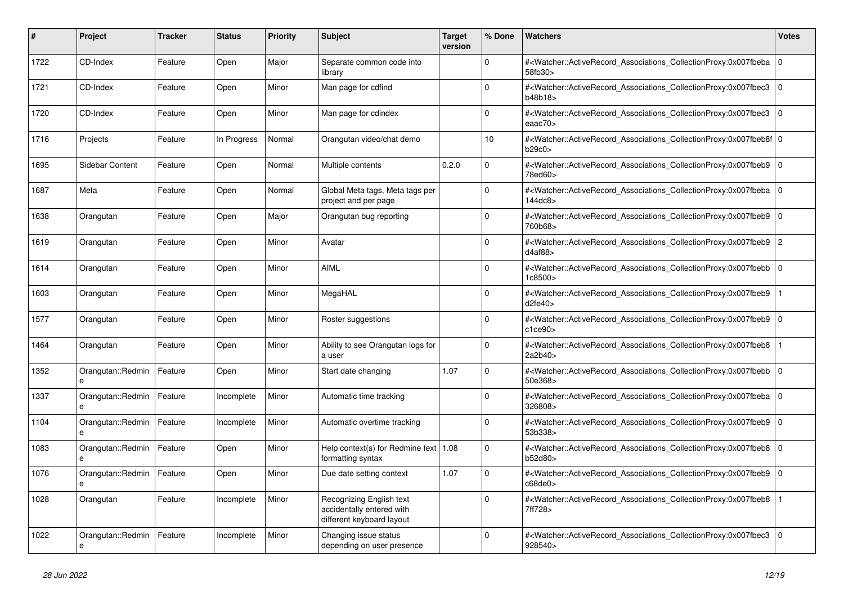| #    | <b>Project</b>         | <b>Tracker</b> | <b>Status</b> | <b>Priority</b> | <b>Subject</b>                                                                     | <b>Target</b><br>version | % Done      | <b>Watchers</b>                                                                                                                                              | <b>Votes</b>   |
|------|------------------------|----------------|---------------|-----------------|------------------------------------------------------------------------------------|--------------------------|-------------|--------------------------------------------------------------------------------------------------------------------------------------------------------------|----------------|
| 1722 | CD-Index               | Feature        | Open          | Major           | Separate common code into<br>library                                               |                          | $\Omega$    | # <watcher::activerecord associations="" collectionproxy:0x007fbeba<br="">58fb30&gt;</watcher::activerecord>                                                 | $\mathbf 0$    |
| 1721 | CD-Index               | Feature        | Open          | Minor           | Man page for cdfind                                                                |                          | $\Omega$    | # <watcher::activerecord_associations_collectionproxy:0x007fbec3<br>b48b18&gt;</watcher::activerecord_associations_collectionproxy:0x007fbec3<br>            | $\mathbf 0$    |
| 1720 | CD-Index               | Feature        | Open          | Minor           | Man page for cdindex                                                               |                          | $\Omega$    | # <watcher::activerecord_associations_collectionproxy:0x007fbec3 0<br="">eaa<math>c70</math></watcher::activerecord_associations_collectionproxy:0x007fbec3> |                |
| 1716 | Projects               | Feature        | In Progress   | Normal          | Orangutan video/chat demo                                                          |                          | 10          | # <watcher::activerecord 0<br="" associations="" collectionproxy:0x007fbeb8f=""  ="">b29c0</watcher::activerecord>                                           |                |
| 1695 | Sidebar Content        | Feature        | Open          | Normal          | Multiple contents                                                                  | 0.2.0                    | $\mathbf 0$ | # <watcher::activerecord_associations_collectionproxy:0x007fbeb9<br>78ed60&gt;</watcher::activerecord_associations_collectionproxy:0x007fbeb9<br>            | $\mathbf 0$    |
| 1687 | Meta                   | Feature        | Open          | Normal          | Global Meta tags, Meta tags per<br>project and per page                            |                          | $\Omega$    | # <watcher::activerecord_associations_collectionproxy:0x007fbeba 0<br=""  ="">144dc8</watcher::activerecord_associations_collectionproxy:0x007fbeba>         |                |
| 1638 | Orangutan              | Feature        | Open          | Major           | Orangutan bug reporting                                                            |                          | $\Omega$    | # <watcher::activerecord_associations_collectionproxy:0x007fbeb9<br>760b68&gt;</watcher::activerecord_associations_collectionproxy:0x007fbeb9<br>            | $\mathbf 0$    |
| 1619 | Orangutan              | Feature        | Open          | Minor           | Avatar                                                                             |                          | $\Omega$    | # <watcher::activerecord_associations_collectionproxy:0x007fbeb9  <br="">d4af88</watcher::activerecord_associations_collectionproxy:0x007fbeb9>              | $\overline{c}$ |
| 1614 | Orangutan              | Feature        | Open          | Minor           | <b>AIML</b>                                                                        |                          | $\Omega$    | # <watcher::activerecord_associations_collectionproxy:0x007fbebb 0<br=""  ="">1c8500&gt;</watcher::activerecord_associations_collectionproxy:0x007fbebb>     |                |
| 1603 | Orangutan              | Feature        | Open          | Minor           | MegaHAL                                                                            |                          | $\Omega$    | # <watcher::activerecord associations="" collectionproxy:0x007fbeb9<br="">d2fe40</watcher::activerecord>                                                     |                |
| 1577 | Orangutan              | Feature        | Open          | Minor           | Roster suggestions                                                                 |                          | $\mathbf 0$ | # <watcher::activerecord_associations_collectionproxy:0x007fbeb9  <br="">c1ce90</watcher::activerecord_associations_collectionproxy:0x007fbeb9>              | $\mathbf 0$    |
| 1464 | Orangutan              | Feature        | Open          | Minor           | Ability to see Orangutan logs for<br>a user                                        |                          | $\Omega$    | # <watcher::activerecord_associations_collectionproxy:0x007fbeb8<br>2a2b40&gt;</watcher::activerecord_associations_collectionproxy:0x007fbeb8<br>            |                |
| 1352 | Orangutan::Redmin<br>e | Feature        | Open          | Minor           | Start date changing                                                                | 1.07                     | $\Omega$    | # <watcher::activerecord associations="" collectionproxy:0x007fbebb<br="">50e368&gt;</watcher::activerecord>                                                 | $\mathbf 0$    |
| 1337 | Orangutan::Redmin<br>e | Feature        | Incomplete    | Minor           | Automatic time tracking                                                            |                          | $\Omega$    | # <watcher::activerecord_associations_collectionproxy:0x007fbeba 0<br=""  ="">326808&gt;</watcher::activerecord_associations_collectionproxy:0x007fbeba>     |                |
| 1104 | Orangutan::Redmin<br>e | Feature        | Incomplete    | Minor           | Automatic overtime tracking                                                        |                          | $\Omega$    | # <watcher::activerecord 0<br="" associations="" collectionproxy:0x007fbeb9=""  ="">53b338&gt;</watcher::activerecord>                                       |                |
| 1083 | Orangutan::Redmin<br>e | Feature        | Open          | Minor           | Help context(s) for Redmine text   $1.08$<br>formatting syntax                     |                          | $\Omega$    | # <watcher::activerecord associations="" collectionproxy:0x007fbeb8<br="">b52d80&gt;</watcher::activerecord>                                                 | $\mathbf 0$    |
| 1076 | Orangutan::Redmin<br>e | Feature        | Open          | Minor           | Due date setting context                                                           | 1.07                     | $\Omega$    | # <watcher::activerecord_associations_collectionproxy:0x007fbeb9  <br="">c68de0</watcher::activerecord_associations_collectionproxy:0x007fbeb9>              | $\Omega$       |
| 1028 | Orangutan              | Feature        | Incomplete    | Minor           | Recognizing English text<br>accidentally entered with<br>different keyboard layout |                          | $\Omega$    | # <watcher::activerecord associations="" collectionproxy:0x007fbeb8<br="">7ff728&gt;</watcher::activerecord>                                                 |                |
| 1022 | Orangutan::Redmin<br>e | Feature        | Incomplete    | Minor           | Changing issue status<br>depending on user presence                                |                          | $\Omega$    | # <watcher::activerecord_associations_collectionproxy:0x007fbec3<br>928540&gt;</watcher::activerecord_associations_collectionproxy:0x007fbec3<br>            | $\Omega$       |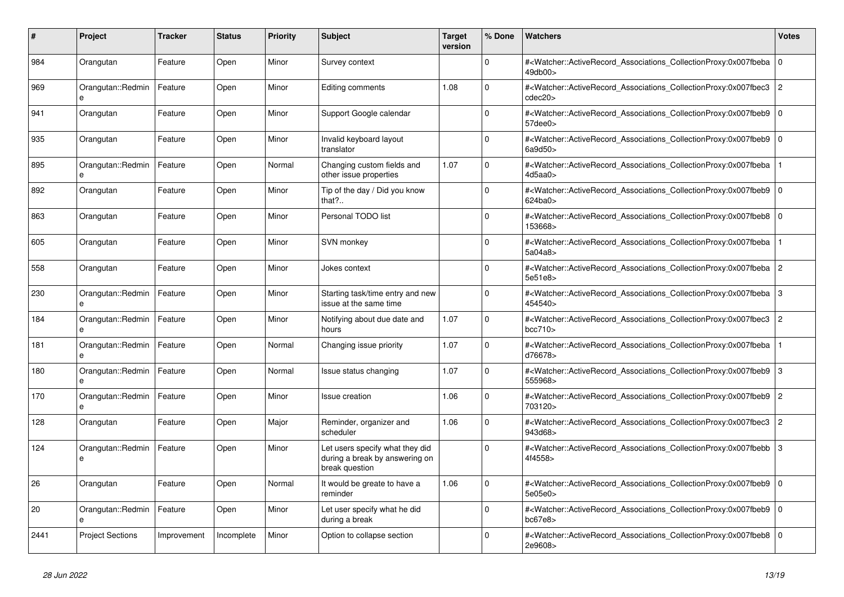| #    | <b>Project</b>          | Tracker     | <b>Status</b> | <b>Priority</b> | <b>Subject</b>                                                                      | <b>Target</b><br>version | % Done       | <b>Watchers</b>                                                                                                                                                           | <b>Votes</b>   |
|------|-------------------------|-------------|---------------|-----------------|-------------------------------------------------------------------------------------|--------------------------|--------------|---------------------------------------------------------------------------------------------------------------------------------------------------------------------------|----------------|
| 984  | Orangutan               | Feature     | Open          | Minor           | Survey context                                                                      |                          | $\Omega$     | # <watcher::activerecord associations="" collectionproxy:0x007fbeba<br="">49db00&gt;</watcher::activerecord>                                                              | $\overline{0}$ |
| 969  | Orangutan::Redmin<br>e  | Feature     | Open          | Minor           | Editing comments                                                                    | 1.08                     | $\Omega$     | # <watcher::activerecord_associations_collectionproxy:0x007fbec3<br>cdec20</watcher::activerecord_associations_collectionproxy:0x007fbec3<br>                             | $\overline{2}$ |
| 941  | Orangutan               | Feature     | Open          | Minor           | Support Google calendar                                                             |                          | $\Omega$     | # <watcher::activerecord_associations_collectionproxy:0x007fbeb9 0<br=""><math>57</math>dee<math>0</math></watcher::activerecord_associations_collectionproxy:0x007fbeb9> |                |
| 935  | Orangutan               | Feature     | Open          | Minor           | Invalid keyboard layout<br>translator                                               |                          | $\Omega$     | # <watcher::activerecord 0<br="" associations="" collectionproxy:0x007fbeb9=""  ="">6a9d50&gt;</watcher::activerecord>                                                    |                |
| 895  | Orangutan::Redmin<br>e  | Feature     | Open          | Normal          | Changing custom fields and<br>other issue properties                                | 1.07                     | $\mathbf 0$  | # <watcher::activerecord_associations_collectionproxy:0x007fbeba<br>4d5aa0</watcher::activerecord_associations_collectionproxy:0x007fbeba<br>                             |                |
| 892  | Orangutan               | Feature     | Open          | Minor           | Tip of the day / Did you know<br>that? $\ldots$                                     |                          | $\Omega$     | # <watcher::activerecord_associations_collectionproxy:0x007fbeb9 0<br="">624ba0&gt;</watcher::activerecord_associations_collectionproxy:0x007fbeb9>                       |                |
| 863  | Orangutan               | Feature     | Open          | Minor           | Personal TODO list                                                                  |                          | $\Omega$     | # <watcher::activerecord_associations_collectionproxy:0x007fbeb8<br>153668&gt;</watcher::activerecord_associations_collectionproxy:0x007fbeb8<br>                         | $\Omega$       |
| 605  | Orangutan               | Feature     | Open          | Minor           | SVN monkey                                                                          |                          | $\Omega$     | # <watcher::activerecord_associations_collectionproxy:0x007fbeba<br>5a04a8&gt;</watcher::activerecord_associations_collectionproxy:0x007fbeba<br>                         |                |
| 558  | Orangutan               | Feature     | Open          | Minor           | Jokes context                                                                       |                          | $\Omega$     | # <watcher::activerecord_associations_collectionproxy:0x007fbeba 2<br="">5e51e8&gt;</watcher::activerecord_associations_collectionproxy:0x007fbeba>                       |                |
| 230  | Orangutan::Redmin       | Feature     | Open          | Minor           | Starting task/time entry and new<br>issue at the same time                          |                          | $\Omega$     | # <watcher::activerecord associations="" collectionproxy:0x007fbeba<br="">454540&gt;</watcher::activerecord>                                                              | 3              |
| 184  | Orangutan::Redmin<br>e  | Feature     | Open          | Minor           | Notifying about due date and<br>hours                                               | 1.07                     | $\mathbf{0}$ | # <watcher::activerecord_associations_collectionproxy:0x007fbec3 2<br="">bcc710<sub>&gt;</sub></watcher::activerecord_associations_collectionproxy:0x007fbec3>            |                |
| 181  | Orangutan::Redmin       | Feature     | Open          | Normal          | Changing issue priority                                                             | 1.07                     | $\Omega$     | # <watcher::activerecord_associations_collectionproxy:0x007fbeba<br>d76678&gt;</watcher::activerecord_associations_collectionproxy:0x007fbeba<br>                         | $\mathbf{1}$   |
| 180  | Orangutan::Redmin       | Feature     | Open          | Normal          | Issue status changing                                                               | 1.07                     | $\Omega$     | # <watcher::activerecord_associations_collectionproxy:0x007fbeb9<br>555968&gt;</watcher::activerecord_associations_collectionproxy:0x007fbeb9<br>                         | 3              |
| 170  | Orangutan::Redmin<br>e  | Feature     | Open          | Minor           | Issue creation                                                                      | 1.06                     | $\Omega$     | # <watcher::activerecord_associations_collectionproxy:0x007fbeb9 2<br="">703120&gt;</watcher::activerecord_associations_collectionproxy:0x007fbeb9>                       |                |
| 128  | Orangutan               | Feature     | Open          | Major           | Reminder, organizer and<br>scheduler                                                | 1.06                     | $\Omega$     | # <watcher::activerecord associations="" collectionproxy:0x007fbec3<br="">943d68&gt;</watcher::activerecord>                                                              | $\overline{c}$ |
| 124  | Orangutan::Redmin<br>e  | Feature     | Open          | Minor           | Let users specify what they did<br>during a break by answering on<br>break question |                          | $\Omega$     | # <watcher::activerecord_associations_collectionproxy:0x007fbebb 3<br="">4f4558&gt;</watcher::activerecord_associations_collectionproxy:0x007fbebb>                       |                |
| 26   | Orangutan               | Feature     | Open          | Normal          | It would be greate to have a<br>reminder                                            | 1.06                     | $\Omega$     | # <watcher::activerecord 0<br="" associations="" collectionproxy:0x007fbeb9=""  ="">5e05e0&gt;</watcher::activerecord>                                                    |                |
| 20   | Orangutan::Redmin<br>e  | Feature     | Open          | Minor           | Let user specify what he did<br>during a break                                      |                          | $\Omega$     | # <watcher::activerecord_associations_collectionproxy:0x007fbeb9 0<br=""  ="">bc67e8</watcher::activerecord_associations_collectionproxy:0x007fbeb9>                      |                |
| 2441 | <b>Project Sections</b> | Improvement | Incomplete    | Minor           | Option to collapse section                                                          |                          | $\Omega$     | # <watcher::activerecord_associations_collectionproxy:0x007fbeb8<br>2e9608&gt;</watcher::activerecord_associations_collectionproxy:0x007fbeb8<br>                         | $\overline{0}$ |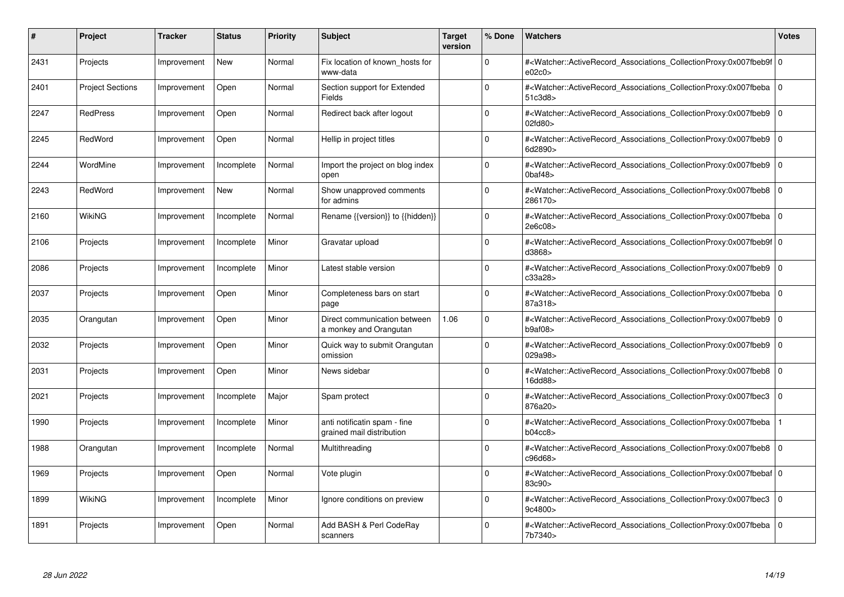| #    | Project                 | Tracker     | <b>Status</b> | <b>Priority</b> | <b>Subject</b>                                            | <b>Target</b><br>version | % Done      | <b>Watchers</b>                                                                                                                                          | <b>Votes</b> |
|------|-------------------------|-------------|---------------|-----------------|-----------------------------------------------------------|--------------------------|-------------|----------------------------------------------------------------------------------------------------------------------------------------------------------|--------------|
| 2431 | Projects                | Improvement | <b>New</b>    | Normal          | Fix location of known hosts for<br>www-data               |                          | $\Omega$    | # <watcher::activerecord 0<br="" associations="" collectionproxy:0x007fbeb9f="">e02c0</watcher::activerecord>                                            |              |
| 2401 | <b>Project Sections</b> | Improvement | Open          | Normal          | Section support for Extended<br>Fields                    |                          | $\Omega$    | # <watcher::activerecord_associations_collectionproxy:0x007fbeba 0<br=""  ="">51c3d8&gt;</watcher::activerecord_associations_collectionproxy:0x007fbeba> |              |
| 2247 | <b>RedPress</b>         | Improvement | Open          | Normal          | Redirect back after logout                                |                          | $\Omega$    | # <watcher::activerecord associations="" collectionproxy:0x007fbeb9<br="">02fd80</watcher::activerecord>                                                 | $\mathbf 0$  |
| 2245 | RedWord                 | Improvement | Open          | Normal          | Hellip in project titles                                  |                          | $\Omega$    | # <watcher::activerecord associations="" collectionproxy:0x007fbeb9=""  <br="">6d2890&gt;</watcher::activerecord>                                        | $\mathbf 0$  |
| 2244 | WordMine                | Improvement | Incomplete    | Normal          | Import the project on blog index<br>open                  |                          | $\Omega$    | # <watcher::activerecord associations="" collectionproxy:0x007fbeb9=""  <br=""><math>0</math>baf48<math>&gt;</math></watcher::activerecord>              | $\mathbf 0$  |
| 2243 | RedWord                 | Improvement | New           | Normal          | Show unapproved comments<br>for admins                    |                          | $\Omega$    | # <watcher::activerecord associations="" collectionproxy:0x007fbeb8<br="">286170&gt;</watcher::activerecord>                                             | $\Omega$     |
| 2160 | <b>WikiNG</b>           | Improvement | Incomplete    | Normal          | Rename {{version}} to {{hidden}}                          |                          | $\Omega$    | # <watcher::activerecord_associations_collectionproxy:0x007fbeba 0<br=""  ="">2e6c08&gt;</watcher::activerecord_associations_collectionproxy:0x007fbeba> |              |
| 2106 | Projects                | Improvement | Incomplete    | Minor           | Gravatar upload                                           |                          | $\Omega$    | # <watcher::activerecord 0<br="" associations="" collectionproxy:0x007fbeb9f=""  ="">d3868</watcher::activerecord>                                       |              |
| 2086 | Projects                | Improvement | Incomplete    | Minor           | Latest stable version                                     |                          | $\Omega$    | # <watcher::activerecord_associations_collectionproxy:0x007fbeb9 0<br=""  ="">c33a28&gt;</watcher::activerecord_associations_collectionproxy:0x007fbeb9> |              |
| 2037 | Projects                | Improvement | Open          | Minor           | Completeness bars on start<br>page                        |                          | $\Omega$    | # <watcher::activerecord_associations_collectionproxy:0x007fbeba 0<br=""  ="">87a318&gt;</watcher::activerecord_associations_collectionproxy:0x007fbeba> |              |
| 2035 | Orangutan               | Improvement | Open          | Minor           | Direct communication between<br>a monkey and Orangutan    | 1.06                     | $\Omega$    | # <watcher::activerecord 0<br="" associations="" collectionproxy:0x007fbeb9=""  ="">b9a108</watcher::activerecord>                                       |              |
| 2032 | Projects                | Improvement | Open          | Minor           | Quick way to submit Orangutan<br>omission                 |                          | $\Omega$    | # <watcher::activerecord associations="" collectionproxy:0x007fbeb9=""  <br="">029a98&gt;</watcher::activerecord>                                        | $\Omega$     |
| 2031 | Projects                | Improvement | Open          | Minor           | News sidebar                                              |                          | $\Omega$    | # <watcher::activerecord associations="" collectionproxy:0x007fbeb8<br="">16dd88&gt;</watcher::activerecord>                                             | $\mathbf 0$  |
| 2021 | Projects                | Improvement | Incomplete    | Major           | Spam protect                                              |                          | $\mathbf 0$ | # <watcher::activerecord_associations_collectionproxy:0x007fbec3<br>876a20&gt;</watcher::activerecord_associations_collectionproxy:0x007fbec3<br>        | $\mathbf 0$  |
| 1990 | Projects                | Improvement | Incomplete    | Minor           | anti notificatin spam - fine<br>grained mail distribution |                          | $\Omega$    | # <watcher::activerecord_associations_collectionproxy:0x007fbeba<br>b04cc8</watcher::activerecord_associations_collectionproxy:0x007fbeba<br>            |              |
| 1988 | Orangutan               | Improvement | Incomplete    | Normal          | Multithreading                                            |                          | $\Omega$    | # <watcher::activerecord 0<br="" associations="" collectionproxy:0x007fbeb8=""  ="">c96d68&gt;</watcher::activerecord>                                   |              |
| 1969 | Projects                | Improvement | Open          | Normal          | Vote plugin                                               |                          | $\Omega$    | # <watcher::activerecord 0<br="" associations="" collectionproxy:0x007fbebaf=""  ="">83c90&gt;</watcher::activerecord>                                   |              |
| 1899 | WikiNG                  | Improvement | Incomplete    | Minor           | Ignore conditions on preview                              |                          | $\Omega$    | # <watcher::activerecord associations="" collectionproxy:0x007fbec3<br="">9c4800&gt;</watcher::activerecord>                                             | $\mathbf 0$  |
| 1891 | Projects                | Improvement | Open          | Normal          | Add BASH & Perl CodeRay<br>scanners                       |                          | $\Omega$    | # <watcher::activerecord_associations_collectionproxy:0x007fbeba 0<br=""  ="">7b7340&gt;</watcher::activerecord_associations_collectionproxy:0x007fbeba> |              |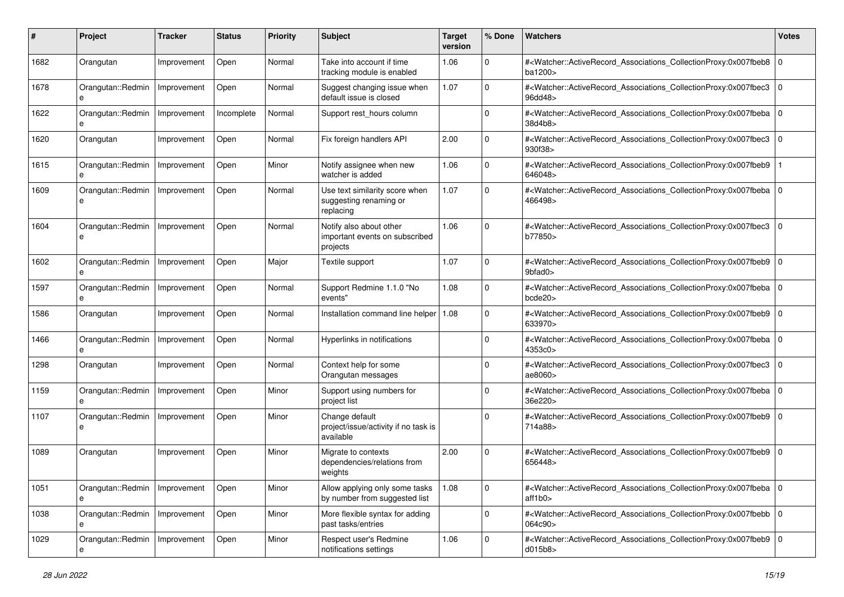| #    | Project                | Tracker     | <b>Status</b> | <b>Priority</b> | <b>Subject</b>                                                        | <b>Target</b><br>version | % Done      | Watchers                                                                                                                                                 | <b>Votes</b> |
|------|------------------------|-------------|---------------|-----------------|-----------------------------------------------------------------------|--------------------------|-------------|----------------------------------------------------------------------------------------------------------------------------------------------------------|--------------|
| 1682 | Orangutan              | Improvement | Open          | Normal          | Take into account if time<br>tracking module is enabled               | 1.06                     | $\Omega$    | # <watcher::activerecord_associations_collectionproxy:0x007fbeb8 0<br="">ba1200&gt;</watcher::activerecord_associations_collectionproxy:0x007fbeb8>      |              |
| 1678 | Orangutan::Redmin<br>e | Improvement | Open          | Normal          | Suggest changing issue when<br>default issue is closed                | 1.07                     | $\Omega$    | # <watcher::activerecord_associations_collectionproxy:0x007fbec3<br>96dd48&gt;</watcher::activerecord_associations_collectionproxy:0x007fbec3<br>        | $\mathbf 0$  |
| 1622 | Orangutan::Redmin<br>e | Improvement | Incomplete    | Normal          | Support rest_hours column                                             |                          | $\Omega$    | # <watcher::activerecord_associations_collectionproxy:0x007fbeba 0<br=""  ="">38d4b8&gt;</watcher::activerecord_associations_collectionproxy:0x007fbeba> |              |
| 1620 | Orangutan              | Improvement | Open          | Normal          | Fix foreign handlers API                                              | 2.00                     | $\Omega$    | # <watcher::activerecord associations="" collectionproxy:0x007fbec3<br="">930f38&gt;</watcher::activerecord>                                             | $\mathbf 0$  |
| 1615 | Orangutan::Redmin<br>e | Improvement | Open          | Minor           | Notify assignee when new<br>watcher is added                          | 1.06                     | $\Omega$    | # <watcher::activerecord associations="" collectionproxy:0x007fbeb9<br="">646048&gt;</watcher::activerecord>                                             |              |
| 1609 | Orangutan::Redmin      | Improvement | Open          | Normal          | Use text similarity score when<br>suggesting renaming or<br>replacing | 1.07                     | $\Omega$    | # <watcher::activerecord_associations_collectionproxy:0x007fbeba 0<br=""  ="">466498&gt;</watcher::activerecord_associations_collectionproxy:0x007fbeba> |              |
| 1604 | Orangutan::Redmin      | Improvement | Open          | Normal          | Notify also about other<br>important events on subscribed<br>projects | 1.06                     | $\Omega$    | # <watcher::activerecord_associations_collectionproxy:0x007fbec3 0<br="">b77850&gt;</watcher::activerecord_associations_collectionproxy:0x007fbec3>      |              |
| 1602 | Orangutan::Redmin      | Improvement | Open          | Major           | Textile support                                                       | 1.07                     | $\Omega$    | # <watcher::activerecord_associations_collectionproxy:0x007fbeb9<br>9bfad0&gt;</watcher::activerecord_associations_collectionproxy:0x007fbeb9<br>        | $\mathbf 0$  |
| 1597 | Orangutan::Redmin      | Improvement | Open          | Normal          | Support Redmine 1.1.0 "No<br>events"                                  | 1.08                     | $\Omega$    | # <watcher::activerecord_associations_collectionproxy:0x007fbeba 0<br="">bcde20</watcher::activerecord_associations_collectionproxy:0x007fbeba>          |              |
| 1586 | Orangutan              | Improvement | Open          | Normal          | Installation command line helper                                      | 1.08                     | $\Omega$    | # <watcher::activerecord_associations_collectionproxy:0x007fbeb9  <br="">633970&gt;</watcher::activerecord_associations_collectionproxy:0x007fbeb9>      | $\mathbf 0$  |
| 1466 | Orangutan::Redmin<br>e | Improvement | Open          | Normal          | Hyperlinks in notifications                                           |                          | $\Omega$    | # <watcher::activerecord_associations_collectionproxy:0x007fbeba 0<br=""  ="">4353c0&gt;</watcher::activerecord_associations_collectionproxy:0x007fbeba> |              |
| 1298 | Orangutan              | Improvement | Open          | Normal          | Context help for some<br>Orangutan messages                           |                          | $\Omega$    | # <watcher::activerecord_associations_collectionproxy:0x007fbec3<br>ae8060&gt;</watcher::activerecord_associations_collectionproxy:0x007fbec3<br>        | $\mathbf 0$  |
| 1159 | Orangutan::Redmin<br>e | Improvement | Open          | Minor           | Support using numbers for<br>project list                             |                          | $\Omega$    | # <watcher::activerecord_associations_collectionproxy:0x007fbeba 0<br=""  ="">36e220&gt;</watcher::activerecord_associations_collectionproxy:0x007fbeba> |              |
| 1107 | Orangutan::Redmin<br>e | Improvement | Open          | Minor           | Change default<br>project/issue/activity if no task is<br>available   |                          | $\Omega$    | # <watcher::activerecord_associations_collectionproxy:0x007fbeb9  <br="">714a88&gt;</watcher::activerecord_associations_collectionproxy:0x007fbeb9>      | $\mathbf 0$  |
| 1089 | Orangutan              | Improvement | Open          | Minor           | Migrate to contexts<br>dependencies/relations from<br>weights         | 2.00                     | $\Omega$    | # <watcher::activerecord_associations_collectionproxy:0x007fbeb9<br>656448&gt;</watcher::activerecord_associations_collectionproxy:0x007fbeb9<br>        | $\Omega$     |
| 1051 | Orangutan::Redmin<br>e | Improvement | Open          | Minor           | Allow applying only some tasks<br>by number from suggested list       | 1.08                     | 0           | # <watcher::activerecord 0<br="" associations="" collectionproxy:0x007fbeba="">aff1b0&gt;</watcher::activerecord>                                        |              |
| 1038 | Orangutan::Redmin      | Improvement | Open          | Minor           | More flexible syntax for adding<br>past tasks/entries                 |                          | $\mathbf 0$ | # <watcher::activerecord 0<br="" associations="" collectionproxy:0x007fbebb="">064c90&gt;</watcher::activerecord>                                        |              |
| 1029 | Orangutan::Redmin      | Improvement | Open          | Minor           | Respect user's Redmine<br>notifications settings                      | 1.06                     | $\mathbf 0$ | # <watcher::activerecord_associations_collectionproxy:0x007fbeb9 0<br=""  ="">d015b8</watcher::activerecord_associations_collectionproxy:0x007fbeb9>     |              |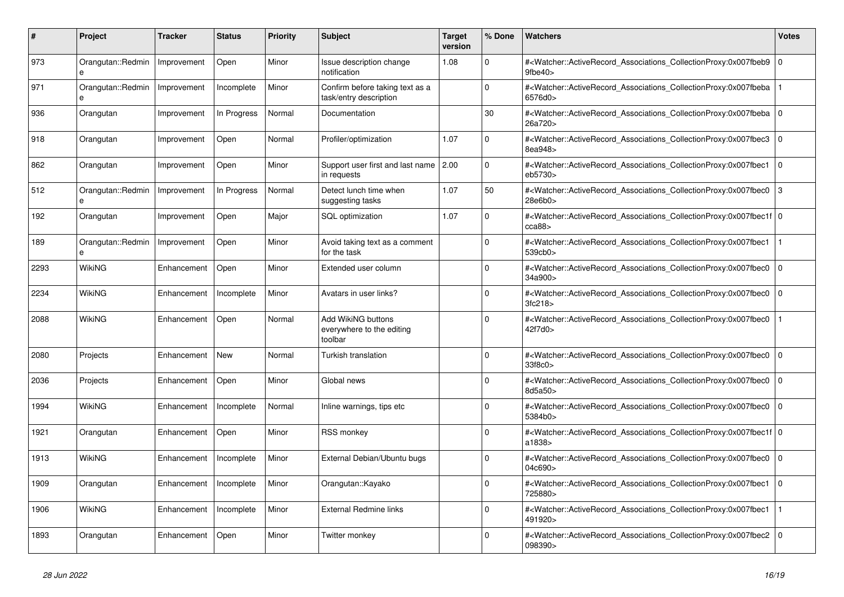| #    | <b>Project</b>         | Tracker     | <b>Status</b> | <b>Priority</b> | <b>Subject</b>                                             | <b>Target</b><br>version | % Done      | <b>Watchers</b>                                                                                                                                           | <b>Votes</b> |
|------|------------------------|-------------|---------------|-----------------|------------------------------------------------------------|--------------------------|-------------|-----------------------------------------------------------------------------------------------------------------------------------------------------------|--------------|
| 973  | Orangutan::Redmin<br>e | Improvement | Open          | Minor           | Issue description change<br>notification                   | 1.08                     | $\Omega$    | # <watcher::activerecord associations="" collectionproxy:0x007fbeb9<br="">9fbe40&gt;</watcher::activerecord>                                              | $\mathbf 0$  |
| 971  | Orangutan::Redmin<br>e | Improvement | Incomplete    | Minor           | Confirm before taking text as a<br>task/entry description  |                          | $\Omega$    | # <watcher::activerecord associations="" collectionproxy:0x007fbeba<br="">6576d0&gt;</watcher::activerecord>                                              |              |
| 936  | Orangutan              | Improvement | In Progress   | Normal          | Documentation                                              |                          | 30          | # <watcher::activerecord_associations_collectionproxy:0x007fbeba 0<br=""  ="">26a720&gt;</watcher::activerecord_associations_collectionproxy:0x007fbeba>  |              |
| 918  | Orangutan              | Improvement | Open          | Normal          | Profiler/optimization                                      | 1.07                     | $\Omega$    | # <watcher::activerecord_associations_collectionproxy:0x007fbec3<br>8ea948&gt;</watcher::activerecord_associations_collectionproxy:0x007fbec3<br>         | $\Omega$     |
| 862  | Orangutan              | Improvement | Open          | Minor           | Support user first and last name<br>in requests            | 2.00                     | 0           | # <watcher::activerecord_associations_collectionproxy:0x007fbec1<br>eb5730&gt;</watcher::activerecord_associations_collectionproxy:0x007fbec1<br>         | $\mathbf 0$  |
| 512  | Orangutan::Redmin<br>e | Improvement | In Progress   | Normal          | Detect lunch time when<br>suggesting tasks                 | 1.07                     | 50          | # <watcher::activerecord associations="" collectionproxy:0x007fbec0<br="">28e6b0&gt;</watcher::activerecord>                                              | 3            |
| 192  | Orangutan              | Improvement | Open          | Major           | SQL optimization                                           | 1.07                     | $\Omega$    | # <watcher::activerecord_associations_collectionproxy:0x007fbec1f 0<br=""  ="">cca88</watcher::activerecord_associations_collectionproxy:0x007fbec1f>     |              |
| 189  | Orangutan::Redmin<br>e | Improvement | Open          | Minor           | Avoid taking text as a comment<br>for the task             |                          | $\Omega$    | # <watcher::activerecord_associations_collectionproxy:0x007fbec1<br>539cb0&gt;</watcher::activerecord_associations_collectionproxy:0x007fbec1<br>         |              |
| 2293 | WikiNG                 | Enhancement | Open          | Minor           | Extended user column                                       |                          | $\Omega$    | # <watcher::activerecord 0<br="" associations="" collectionproxy:0x007fbec0=""  ="">34a900&gt;</watcher::activerecord>                                    |              |
| 2234 | WikiNG                 | Enhancement | Incomplete    | Minor           | Avatars in user links?                                     |                          | $\Omega$    | # <watcher::activerecord associations="" collectionproxy:0x007fbec0<br="">3fc218</watcher::activerecord>                                                  | $\mathbf 0$  |
| 2088 | WikiNG                 | Enhancement | Open          | Normal          | Add WikiNG buttons<br>everywhere to the editing<br>toolbar |                          | $\Omega$    | # <watcher::activerecord_associations_collectionproxy:0x007fbec0<br>42f7d0&gt;</watcher::activerecord_associations_collectionproxy:0x007fbec0<br>         |              |
| 2080 | Projects               | Enhancement | New           | Normal          | Turkish translation                                        |                          | $\Omega$    | # <watcher::activerecord 0<br="" associations="" collectionproxy:0x007fbec0=""  ="">33f8c0&gt;</watcher::activerecord>                                    |              |
| 2036 | Projects               | Enhancement | Open          | Minor           | Global news                                                |                          | $\Omega$    | # <watcher::activerecord associations="" collectionproxy:0x007fbec0<br="">8d5a50&gt;</watcher::activerecord>                                              | $\Omega$     |
| 1994 | <b>WikiNG</b>          | Enhancement | Incomplete    | Normal          | Inline warnings, tips etc                                  |                          | $\Omega$    | # <watcher::activerecord associations="" collectionproxy:0x007fbec0<br="">5384b0&gt;</watcher::activerecord>                                              | $\mathbf 0$  |
| 1921 | Orangutan              | Enhancement | Open          | Minor           | <b>RSS monkey</b>                                          |                          | $\Omega$    | # <watcher::activerecord_associations_collectionproxy:0x007fbec1f 0<br=""  ="">a1838&gt;</watcher::activerecord_associations_collectionproxy:0x007fbec1f> |              |
| 1913 | WikiNG                 | Enhancement | Incomplete    | Minor           | External Debian/Ubuntu bugs                                |                          | $\mathbf 0$ | # <watcher::activerecord_associations_collectionproxy:0x007fbec0<br>04c690&gt;</watcher::activerecord_associations_collectionproxy:0x007fbec0<br>         | $\mathbf 0$  |
| 1909 | Orangutan              | Enhancement | Incomplete    | Minor           | Orangutan::Kayako                                          |                          | $\Omega$    | # <watcher::activerecord_associations_collectionproxy:0x007fbec1 0<br=""  ="">725880&gt;</watcher::activerecord_associations_collectionproxy:0x007fbec1>  |              |
| 1906 | WikiNG                 | Enhancement | Incomplete    | Minor           | <b>External Redmine links</b>                              |                          | $\Omega$    | # <watcher::activerecord_associations_collectionproxy:0x007fbec1<br>491920&gt;</watcher::activerecord_associations_collectionproxy:0x007fbec1<br>         |              |
| 1893 | Orangutan              | Enhancement | Open          | Minor           | Twitter monkey                                             |                          | $\Omega$    | # <watcher::activerecord associations="" collectionproxy:0x007fbec2<br="">098390&gt;</watcher::activerecord>                                              | $\Omega$     |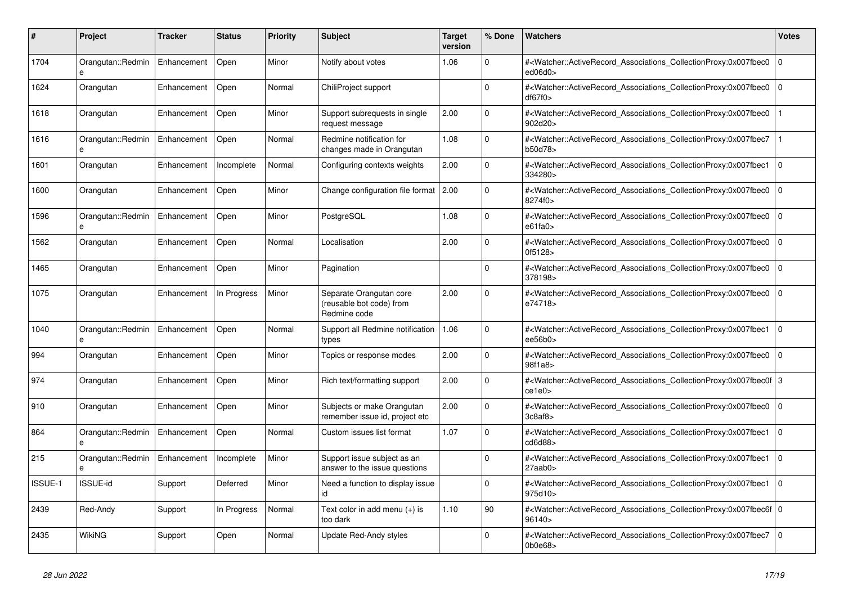| #       | <b>Project</b>                    | Tracker     | <b>Status</b> | <b>Priority</b> | <b>Subject</b>                                                      | <b>Target</b><br>version | % Done       | <b>Watchers</b>                                                                                                                                       | <b>Votes</b>   |
|---------|-----------------------------------|-------------|---------------|-----------------|---------------------------------------------------------------------|--------------------------|--------------|-------------------------------------------------------------------------------------------------------------------------------------------------------|----------------|
| 1704    | Orangutan::Redmin<br>e            | Enhancement | Open          | Minor           | Notify about votes                                                  | 1.06                     | $\Omega$     | # <watcher::activerecord_associations_collectionproxy:0x007fbec0<br>ed06d0</watcher::activerecord_associations_collectionproxy:0x007fbec0<br>         | $\Omega$       |
| 1624    | Orangutan                         | Enhancement | Open          | Normal          | ChiliProject support                                                |                          | $\mathbf{0}$ | # <watcher::activerecord_associations_collectionproxy:0x007fbec0<br>df67f0</watcher::activerecord_associations_collectionproxy:0x007fbec0<br>         | $\overline{0}$ |
| 1618    | Orangutan                         | Enhancement | Open          | Minor           | Support subrequests in single<br>request message                    | 2.00                     | $\Omega$     | # <watcher::activerecord associations="" collectionproxy:0x007fbec0<br="">902d20&gt;</watcher::activerecord>                                          |                |
| 1616    | Orangutan::Redmin                 | Enhancement | Open          | Normal          | Redmine notification for<br>changes made in Orangutan               | 1.08                     | $\Omega$     | # <watcher::activerecord_associations_collectionproxy:0x007fbec7<br>b50d78&gt;</watcher::activerecord_associations_collectionproxy:0x007fbec7<br>     |                |
| 1601    | Orangutan                         | Enhancement | Incomplete    | Normal          | Configuring contexts weights                                        | 2.00                     | $\Omega$     | # <watcher::activerecord_associations_collectionproxy:0x007fbec1<br>334280&gt;</watcher::activerecord_associations_collectionproxy:0x007fbec1<br>     | $\overline{0}$ |
| 1600    | Orangutan                         | Enhancement | Open          | Minor           | Change configuration file format 2.00                               |                          | $\Omega$     | # <watcher::activerecord associations="" collectionproxy:0x007fbec0<br="">8274f0&gt;</watcher::activerecord>                                          | $\overline{0}$ |
| 1596    | Orangutan::Redmin<br>$\mathbf{a}$ | Enhancement | Open          | Minor           | PostgreSQL                                                          | 1.08                     | $\Omega$     | # <watcher::activerecord associations="" collectionproxy:0x007fbec0<br="">e61fa0</watcher::activerecord>                                              | $\Omega$       |
| 1562    | Orangutan                         | Enhancement | Open          | Normal          | Localisation                                                        | 2.00                     | $\Omega$     | # <watcher::activerecord_associations_collectionproxy:0x007fbec0<br>0f5128&gt;</watcher::activerecord_associations_collectionproxy:0x007fbec0<br>     | l 0            |
| 1465    | Orangutan                         | Enhancement | Open          | Minor           | Pagination                                                          |                          | $\Omega$     | # <watcher::activerecord_associations_collectionproxy:0x007fbec0<br>378198&gt;</watcher::activerecord_associations_collectionproxy:0x007fbec0<br>     | l 0            |
| 1075    | Orangutan                         | Enhancement | In Progress   | Minor           | Separate Orangutan core<br>(reusable bot code) from<br>Redmine code | 2.00                     | $\Omega$     | # <watcher::activerecord associations="" collectionproxy:0x007fbec0<br="">e74718&gt;</watcher::activerecord>                                          | $\mathbf 0$    |
| 1040    | Orangutan::Redmin<br>e            | Enhancement | Open          | Normal          | Support all Redmine notification<br>types                           | 1.06                     | $\Omega$     | # <watcher::activerecord associations="" collectionproxy:0x007fbec1<br="">ee56b0&gt;</watcher::activerecord>                                          | $\Omega$       |
| 994     | Orangutan                         | Enhancement | Open          | Minor           | Topics or response modes                                            | 2.00                     | $\Omega$     | # <watcher::activerecord associations="" collectionproxy:0x007fbec0<br="">98f1a8&gt;</watcher::activerecord>                                          | $\mathbf 0$    |
| 974     | Orangutan                         | Enhancement | Open          | Minor           | Rich text/formatting support                                        | 2.00                     | $\Omega$     | # <watcher::activerecord_associations_collectionproxy:0x007fbec0f 3<br=""  ="">ce1e0</watcher::activerecord_associations_collectionproxy:0x007fbec0f> |                |
| 910     | Orangutan                         | Enhancement | Open          | Minor           | Subjects or make Orangutan<br>remember issue id, project etc        | 2.00                     | $\Omega$     | # <watcher::activerecord associations="" collectionproxy:0x007fbec0<br="">3c8af8</watcher::activerecord>                                              | $\overline{0}$ |
| 864     | Orangutan::Redmin<br>e            | Enhancement | Open          | Normal          | Custom issues list format                                           | 1.07                     | $\Omega$     | # <watcher::activerecord associations="" collectionproxy:0x007fbec1<br="">cd6d88&gt;</watcher::activerecord>                                          | $\Omega$       |
| 215     | Orangutan::Redmin<br>e            | Enhancement | Incomplete    | Minor           | Support issue subject as an<br>answer to the issue questions        |                          | $\mathbf 0$  | # <watcher::activerecord_associations_collectionproxy:0x007fbec1<br>27aab0&gt;</watcher::activerecord_associations_collectionproxy:0x007fbec1<br>     | $\Omega$       |
| ISSUE-1 | <b>ISSUE-id</b>                   | Support     | Deferred      | Minor           | Need a function to display issue<br>id                              |                          | $\Omega$     | # <watcher::activerecord associations="" collectionproxy:0x007fbec1<br="">975d10&gt;</watcher::activerecord>                                          | $\Omega$       |
| 2439    | Red-Andy                          | Support     | In Progress   | Normal          | Text color in add menu (+) is<br>too dark                           | 1.10                     | 90           | # <watcher::activerecord 0<br="" associations="" collectionproxy:0x007fbec6f=""  ="">96140&gt;</watcher::activerecord>                                |                |
| 2435    | WikiNG                            | Support     | Open          | Normal          | Update Red-Andy styles                                              |                          | $\Omega$     | # <watcher::activerecord_associations_collectionproxy:0x007fbec7<br>0b0e68</watcher::activerecord_associations_collectionproxy:0x007fbec7<br>         | l o            |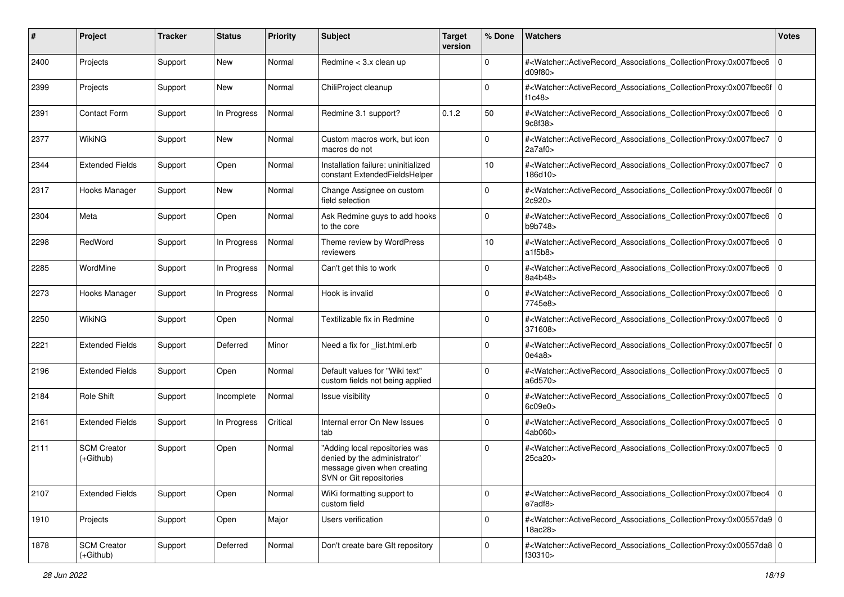| #    | Project                         | <b>Tracker</b> | <b>Status</b> | <b>Priority</b> | Subject                                                                                                                  | <b>Target</b><br>version | % Done      | <b>Watchers</b>                                                                                                                                           | <b>Votes</b> |
|------|---------------------------------|----------------|---------------|-----------------|--------------------------------------------------------------------------------------------------------------------------|--------------------------|-------------|-----------------------------------------------------------------------------------------------------------------------------------------------------------|--------------|
| 2400 | Projects                        | Support        | New           | Normal          | Redmine < 3.x clean up                                                                                                   |                          | $\mathbf 0$ | # <watcher::activerecord_associations_collectionproxy:0x007fbec6<br>d09f80</watcher::activerecord_associations_collectionproxy:0x007fbec6<br>             | 0            |
| 2399 | Projects                        | Support        | New           | Normal          | ChiliProject cleanup                                                                                                     |                          | $\Omega$    | # <watcher::activerecord_associations_collectionproxy:0x007fbec6f 0<br=""  ="">f1c48</watcher::activerecord_associations_collectionproxy:0x007fbec6f>     |              |
| 2391 | <b>Contact Form</b>             | Support        | In Progress   | Normal          | Redmine 3.1 support?                                                                                                     | 0.1.2                    | 50          | # <watcher::activerecord_associations_collectionproxy:0x007fbec6<br>9c8f38&gt;</watcher::activerecord_associations_collectionproxy:0x007fbec6<br>         | l O          |
| 2377 | WikiNG                          | Support        | New           | Normal          | Custom macros work, but icon<br>macros do not                                                                            |                          | $\mathbf 0$ | # <watcher::activerecord_associations_collectionproxy:0x007fbec7<br>2a7af0&gt;</watcher::activerecord_associations_collectionproxy:0x007fbec7<br>         | l 0          |
| 2344 | <b>Extended Fields</b>          | Support        | Open          | Normal          | Installation failure: uninitialized<br>constant ExtendedFieldsHelper                                                     |                          | 10          | # <watcher::activerecord_associations_collectionproxy:0x007fbec7<br>186d10&gt;</watcher::activerecord_associations_collectionproxy:0x007fbec7<br>         | 0            |
| 2317 | Hooks Manager                   | Support        | New           | Normal          | Change Assignee on custom<br>field selection                                                                             |                          | $\Omega$    | # <watcher::activerecord_associations_collectionproxy:0x007fbec6f 0<br=""  ="">2c920&gt;</watcher::activerecord_associations_collectionproxy:0x007fbec6f> |              |
| 2304 | Meta                            | Support        | Open          | Normal          | Ask Redmine guys to add hooks<br>to the core                                                                             |                          | $\Omega$    | # <watcher::activerecord_associations_collectionproxy:0x007fbec6<br>b9b748&gt;</watcher::activerecord_associations_collectionproxy:0x007fbec6<br>         | l 0          |
| 2298 | RedWord                         | Support        | In Progress   | Normal          | Theme review by WordPress<br>reviewers                                                                                   |                          | 10          | # <watcher::activerecord_associations_collectionproxy:0x007fbec6<br>a1f5b8</watcher::activerecord_associations_collectionproxy:0x007fbec6<br>             | l 0          |
| 2285 | WordMine                        | Support        | In Progress   | Normal          | Can't get this to work                                                                                                   |                          | $\Omega$    | # <watcher::activerecord associations="" collectionproxy:0x007fbec6<br="">8a4b48&gt;</watcher::activerecord>                                              | 0            |
| 2273 | Hooks Manager                   | Support        | In Progress   | Normal          | Hook is invalid                                                                                                          |                          | 0           | # <watcher::activerecord associations="" collectionproxy:0x007fbec6<br="">7745e8&gt;</watcher::activerecord>                                              | l 0          |
| 2250 | <b>WikiNG</b>                   | Support        | Open          | Normal          | Textilizable fix in Redmine                                                                                              |                          | $\Omega$    | # <watcher::activerecord_associations_collectionproxy:0x007fbec6<br>371608&gt;</watcher::activerecord_associations_collectionproxy:0x007fbec6<br>         | 0            |
| 2221 | <b>Extended Fields</b>          | Support        | Deferred      | Minor           | Need a fix for _list.html.erb                                                                                            |                          | $\Omega$    | # <watcher::activerecord_associations_collectionproxy:0x007fbec5f 0<br=""  ="">0e4a8</watcher::activerecord_associations_collectionproxy:0x007fbec5f>     |              |
| 2196 | <b>Extended Fields</b>          | Support        | Open          | Normal          | Default values for "Wiki text"<br>custom fields not being applied                                                        |                          | $\Omega$    | # <watcher::activerecord_associations_collectionproxy:0x007fbec5<br>a6d570&gt;</watcher::activerecord_associations_collectionproxy:0x007fbec5<br>         | 0            |
| 2184 | Role Shift                      | Support        | Incomplete    | Normal          | Issue visibility                                                                                                         |                          | $\Omega$    | # <watcher::activerecord_associations_collectionproxy:0x007fbec5<br>609e0</watcher::activerecord_associations_collectionproxy:0x007fbec5<br>              | 0            |
| 2161 | <b>Extended Fields</b>          | Support        | In Progress   | Critical        | Internal error On New Issues<br>tab                                                                                      |                          | $\mathbf 0$ | # <watcher::activerecord_associations_collectionproxy:0x007fbec5<br>4ab060&gt;</watcher::activerecord_associations_collectionproxy:0x007fbec5<br>         | l 0          |
| 2111 | <b>SCM Creator</b><br>(+Github) | Support        | Open          | Normal          | "Adding local repositories was<br>denied by the administrator"<br>message given when creating<br>SVN or Git repositories |                          | $\Omega$    | # <watcher::activerecord_associations_collectionproxy:0x007fbec5<br>25ca20&gt;</watcher::activerecord_associations_collectionproxy:0x007fbec5<br>         | l 0          |
| 2107 | <b>Extended Fields</b>          | Support        | Open          | Normal          | WiKi formatting support to<br>custom field                                                                               |                          | $\mathbf 0$ | # <watcher::activerecord 0<br="" associations="" collectionproxy:0x007fbec4="">e7adf8&gt;</watcher::activerecord>                                         |              |
| 1910 | Projects                        | Support        | Open          | Major           | Users verification                                                                                                       |                          | $\mathbf 0$ | # <watcher::activerecord_associations_collectionproxy:0x00557da9 0<br="">18ac28&gt;</watcher::activerecord_associations_collectionproxy:0x00557da9>       |              |
| 1878 | <b>SCM Creator</b><br>(+Github) | Support        | Deferred      | Normal          | Don't create bare GIt repository                                                                                         |                          | $\mathbf 0$ | # <watcher::activerecord 0<br="" associations="" collectionproxy:0x00557da8="">f30310&gt;</watcher::activerecord>                                         |              |